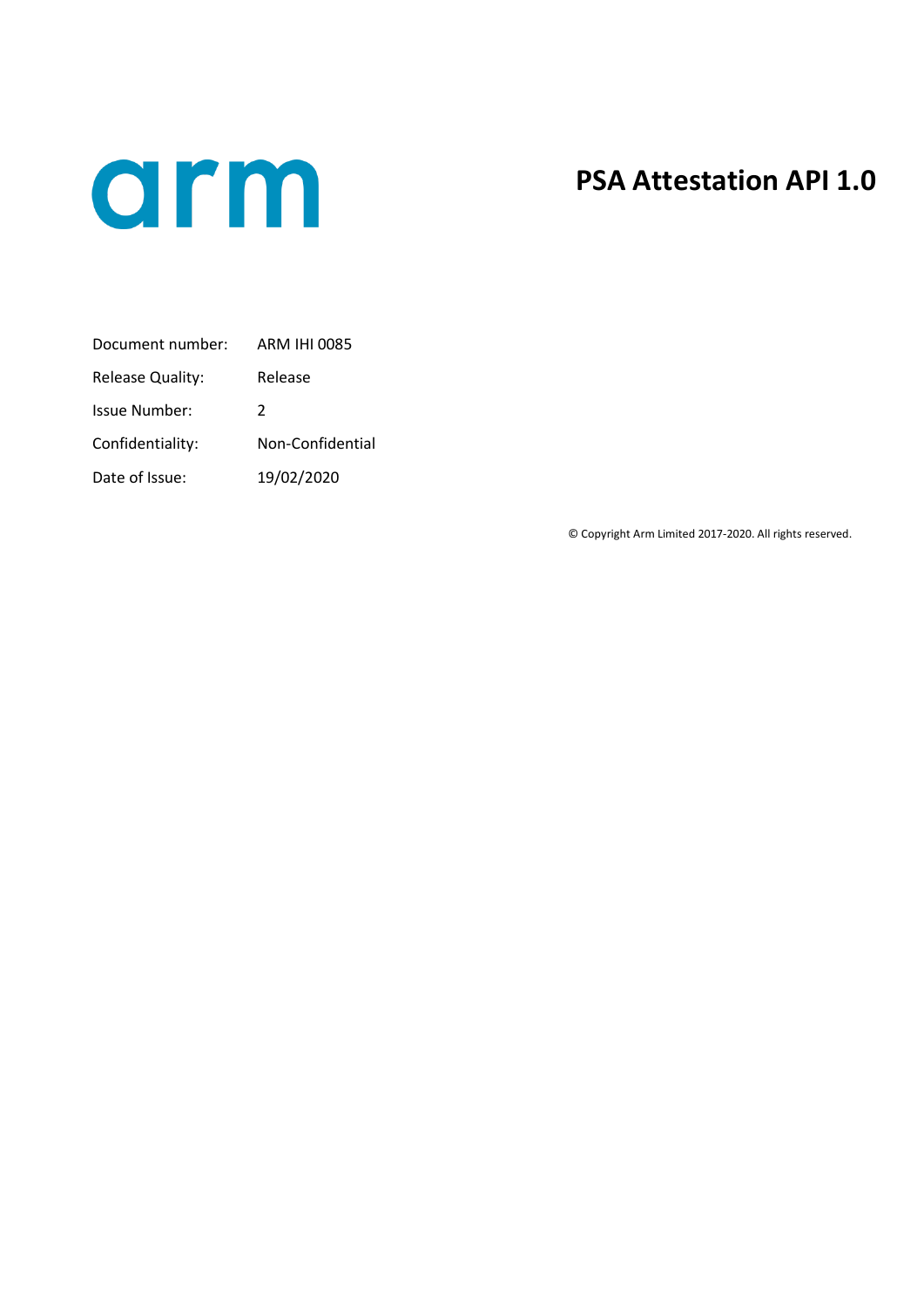

## **PSA Attestation API 1.0**

| Document number:     | ARM IHI 0085     |
|----------------------|------------------|
| Release Quality:     | Release          |
| <b>Issue Number:</b> | $\mathcal{P}$    |
| Confidentiality:     | Non-Confidential |
| Date of Issue:       | 19/02/2020       |

© Copyright Arm Limited 2017-2020. All rights reserved.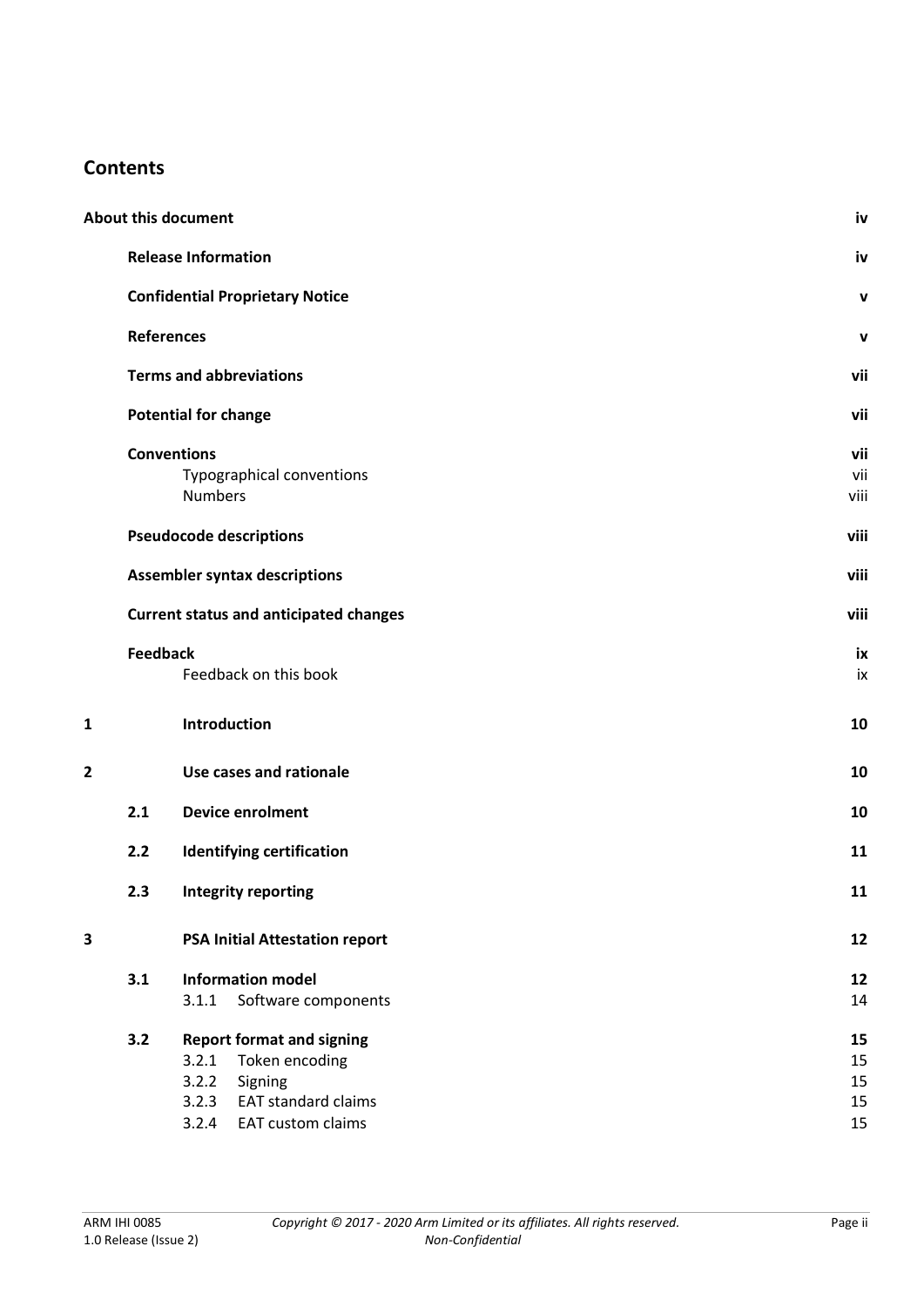## **Contents**

|   |                   | <b>About this document</b>                                                                                                                           | iv                         |
|---|-------------------|------------------------------------------------------------------------------------------------------------------------------------------------------|----------------------------|
|   |                   | <b>Release Information</b>                                                                                                                           | iv                         |
|   |                   | <b>Confidential Proprietary Notice</b>                                                                                                               | v                          |
|   | <b>References</b> |                                                                                                                                                      | v                          |
|   |                   | <b>Terms and abbreviations</b>                                                                                                                       | vii                        |
|   |                   | <b>Potential for change</b>                                                                                                                          | vii                        |
|   |                   | <b>Conventions</b><br>Typographical conventions<br><b>Numbers</b>                                                                                    | vii<br>vii<br>viii         |
|   |                   | <b>Pseudocode descriptions</b>                                                                                                                       | viii                       |
|   |                   | <b>Assembler syntax descriptions</b>                                                                                                                 | viii                       |
|   |                   | <b>Current status and anticipated changes</b>                                                                                                        | viii                       |
|   | <b>Feedback</b>   | Feedback on this book                                                                                                                                | ix<br>ix                   |
| 1 |                   | Introduction                                                                                                                                         | 10                         |
| 2 |                   | Use cases and rationale                                                                                                                              | 10                         |
|   | 2.1               | <b>Device enrolment</b>                                                                                                                              | 10                         |
|   | 2.2               | <b>Identifying certification</b>                                                                                                                     | 11                         |
|   | 2.3               | <b>Integrity reporting</b>                                                                                                                           | 11                         |
| 3 |                   | <b>PSA Initial Attestation report</b>                                                                                                                | 12                         |
|   | 3.1               | <b>Information model</b><br>3.1.1<br>Software components                                                                                             | 12<br>14                   |
|   | 3.2               | <b>Report format and signing</b><br>3.2.1<br>Token encoding<br>3.2.2<br>Signing<br><b>EAT standard claims</b><br>3.2.3<br>3.2.4<br>EAT custom claims | 15<br>15<br>15<br>15<br>15 |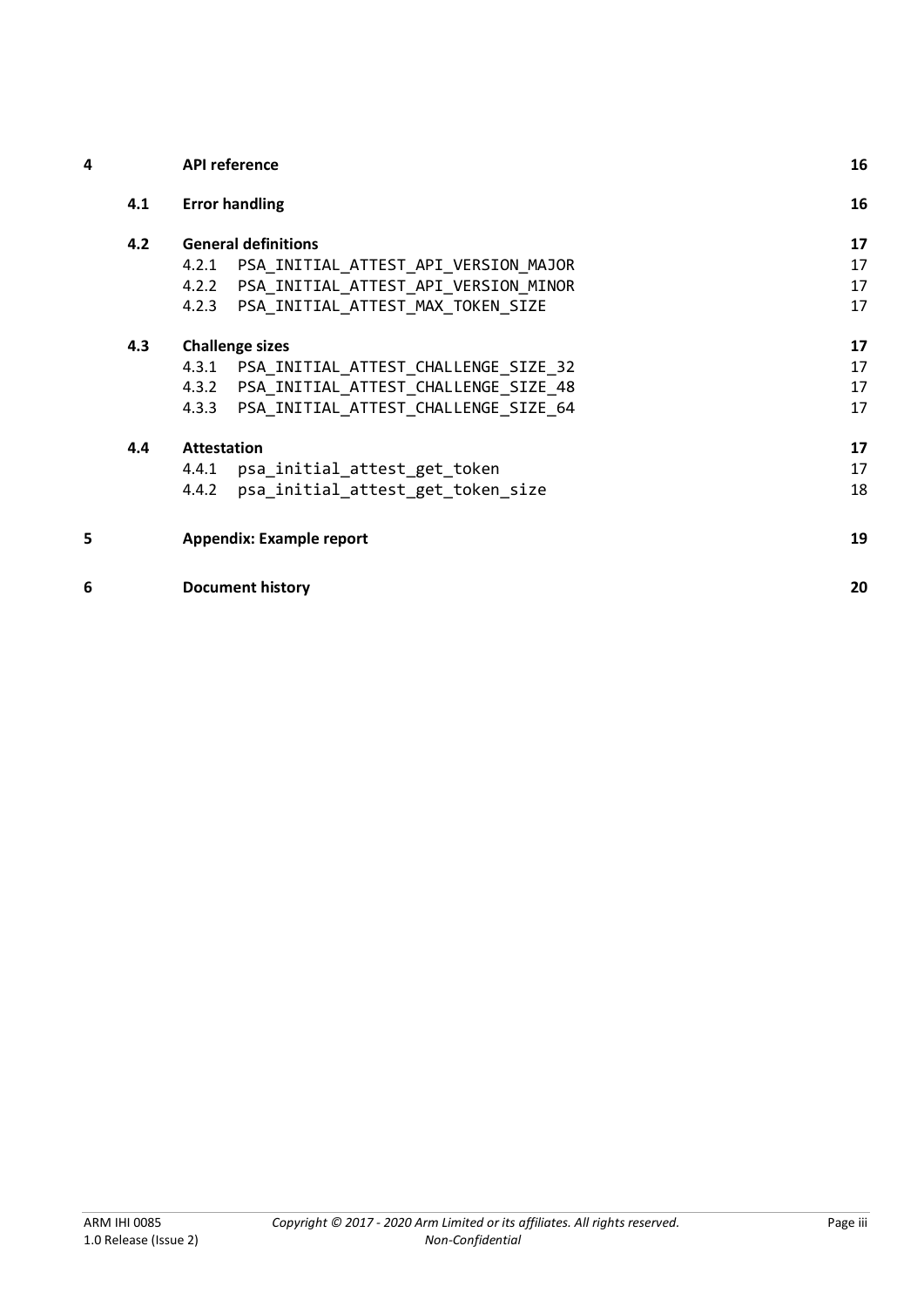| 4 |     | <b>API reference</b>                          | 16 |
|---|-----|-----------------------------------------------|----|
|   | 4.1 | <b>Error handling</b>                         | 16 |
|   | 4.2 | <b>General definitions</b>                    | 17 |
|   |     | PSA INITIAL ATTEST API VERSION MAJOR<br>4.2.1 | 17 |
|   |     | PSA INITIAL ATTEST API VERSION MINOR<br>4.2.2 | 17 |
|   |     | PSA INITIAL ATTEST MAX TOKEN SIZE<br>4.2.3    | 17 |
|   | 4.3 | <b>Challenge sizes</b>                        | 17 |
|   |     | PSA INITIAL ATTEST CHALLENGE SIZE 32<br>4.3.1 | 17 |
|   |     | PSA INITIAL ATTEST CHALLENGE SIZE 48<br>4.3.2 | 17 |
|   |     | PSA INITIAL ATTEST CHALLENGE SIZE 64<br>4.3.3 | 17 |
|   | 4.4 | <b>Attestation</b>                            | 17 |
|   |     | 4.4.1<br>psa_initial_attest_get_token         | 17 |
|   |     | psa_initial_attest_get_token_size<br>4.4.2    | 18 |
| 5 |     | <b>Appendix: Example report</b>               | 19 |
| 6 |     | <b>Document history</b>                       | 20 |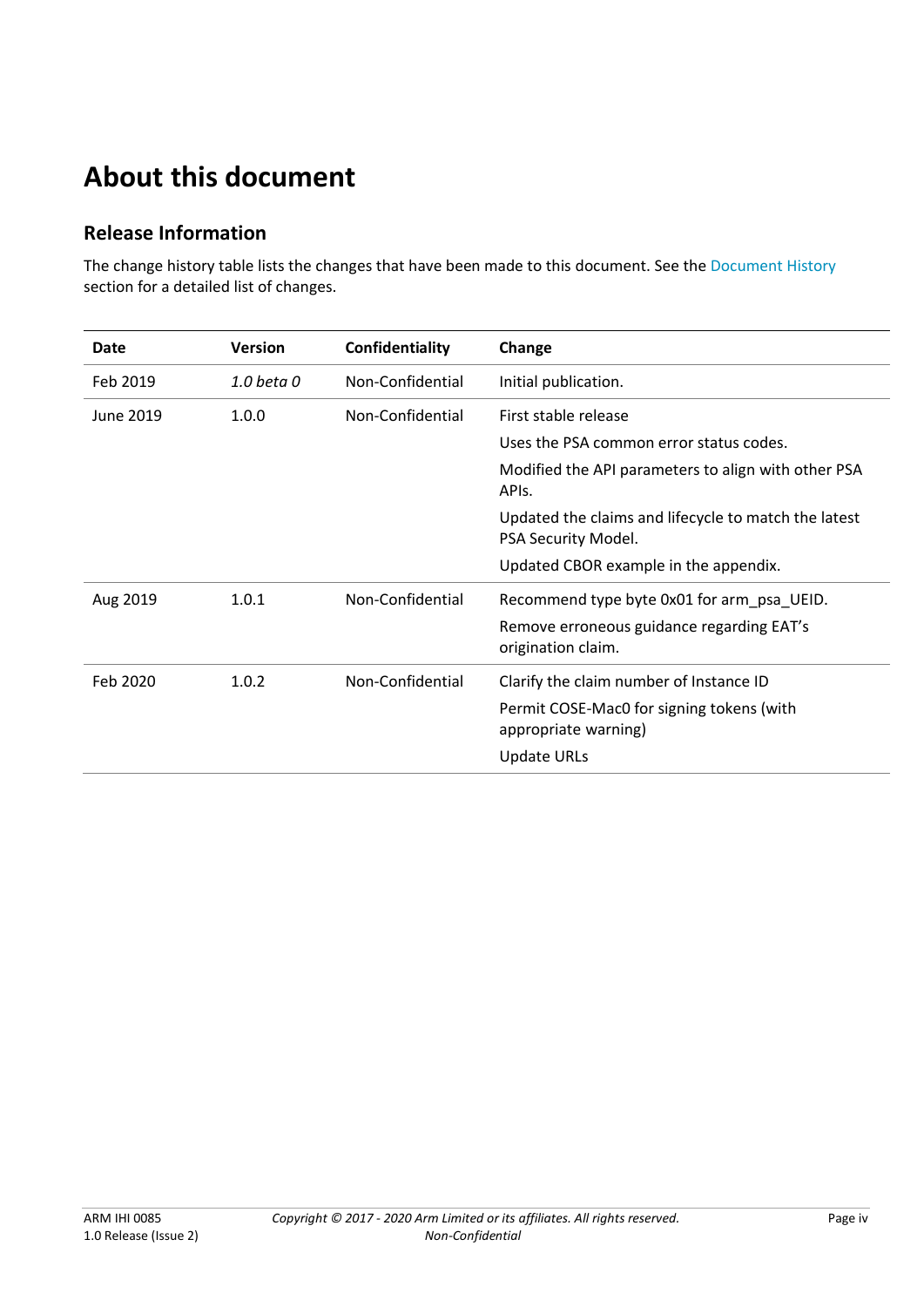# **About this document**

## **Release Information**

The change history table lists the changes that have been made to this document. See the Document History section for a detailed list of changes.

| Date      | <b>Version</b> | Confidentiality  | Change                                                                      |
|-----------|----------------|------------------|-----------------------------------------------------------------------------|
| Feb 2019  | 1.0 beta 0     | Non-Confidential | Initial publication.                                                        |
| June 2019 | 1.0.0          | Non-Confidential | First stable release                                                        |
|           |                |                  | Uses the PSA common error status codes.                                     |
|           |                |                  | Modified the API parameters to align with other PSA<br>APIs.                |
|           |                |                  | Updated the claims and lifecycle to match the latest<br>PSA Security Model. |
|           |                |                  | Updated CBOR example in the appendix.                                       |
| Aug 2019  | 1.0.1          | Non-Confidential | Recommend type byte 0x01 for arm_psa_UEID.                                  |
|           |                |                  | Remove erroneous guidance regarding EAT's<br>origination claim.             |
| Feb 2020  | 1.0.2          | Non-Confidential | Clarify the claim number of Instance ID                                     |
|           |                |                  | Permit COSE-Mac0 for signing tokens (with<br>appropriate warning)           |
|           |                |                  | <b>Update URLs</b>                                                          |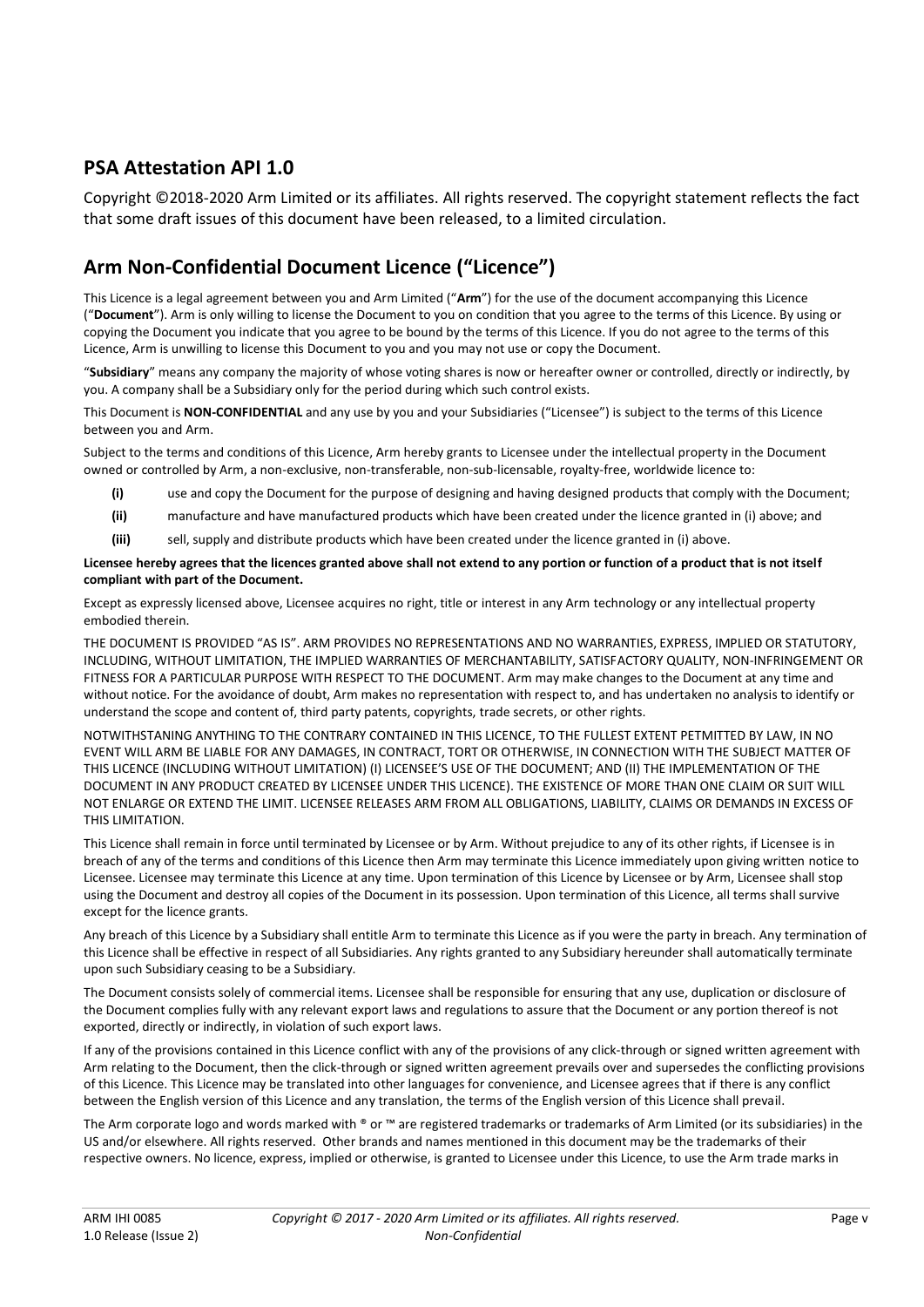## **PSA Attestation API 1.0**

Copyright ©2018-2020 Arm Limited or its affiliates. All rights reserved. The copyright statement reflects the fact that some draft issues of this document have been released, to a limited circulation.

## **Arm Non-Confidential Document Licence ("Licence")**

This Licence is a legal agreement between you and Arm Limited ("**Arm**") for the use of the document accompanying this Licence ("**Document**"). Arm is only willing to license the Document to you on condition that you agree to the terms of this Licence. By using or copying the Document you indicate that you agree to be bound by the terms of this Licence. If you do not agree to the terms of this Licence, Arm is unwilling to license this Document to you and you may not use or copy the Document.

"**Subsidiary**" means any company the majority of whose voting shares is now or hereafter owner or controlled, directly or indirectly, by you. A company shall be a Subsidiary only for the period during which such control exists.

This Document is **NON-CONFIDENTIAL** and any use by you and your Subsidiaries ("Licensee") is subject to the terms of this Licence between you and Arm.

Subject to the terms and conditions of this Licence, Arm hereby grants to Licensee under the intellectual property in the Document owned or controlled by Arm, a non-exclusive, non-transferable, non-sub-licensable, royalty-free, worldwide licence to:

- **(i)** use and copy the Document for the purpose of designing and having designed products that comply with the Document;
- **(ii)** manufacture and have manufactured products which have been created under the licence granted in (i) above; and
- **(iii)** sell, supply and distribute products which have been created under the licence granted in (i) above.

#### **Licensee hereby agrees that the licences granted above shall not extend to any portion or function of a product that is not itself compliant with part of the Document.**

Except as expressly licensed above, Licensee acquires no right, title or interest in any Arm technology or any intellectual property embodied therein.

THE DOCUMENT IS PROVIDED "AS IS". ARM PROVIDES NO REPRESENTATIONS AND NO WARRANTIES, EXPRESS, IMPLIED OR STATUTORY, INCLUDING, WITHOUT LIMITATION, THE IMPLIED WARRANTIES OF MERCHANTABILITY, SATISFACTORY QUALITY, NON-INFRINGEMENT OR FITNESS FOR A PARTICULAR PURPOSE WITH RESPECT TO THE DOCUMENT. Arm may make changes to the Document at any time and without notice. For the avoidance of doubt, Arm makes no representation with respect to, and has undertaken no analysis to identify or understand the scope and content of, third party patents, copyrights, trade secrets, or other rights.

NOTWITHSTANING ANYTHING TO THE CONTRARY CONTAINED IN THIS LICENCE, TO THE FULLEST EXTENT PETMITTED BY LAW, IN NO EVENT WILL ARM BE LIABLE FOR ANY DAMAGES, IN CONTRACT, TORT OR OTHERWISE, IN CONNECTION WITH THE SUBJECT MATTER OF THIS LICENCE (INCLUDING WITHOUT LIMITATION) (I) LICENSEE'S USE OF THE DOCUMENT; AND (II) THE IMPLEMENTATION OF THE DOCUMENT IN ANY PRODUCT CREATED BY LICENSEE UNDER THIS LICENCE). THE EXISTENCE OF MORE THAN ONE CLAIM OR SUIT WILL NOT ENLARGE OR EXTEND THE LIMIT. LICENSEE RELEASES ARM FROM ALL OBLIGATIONS, LIABILITY, CLAIMS OR DEMANDS IN EXCESS OF THIS LIMITATION.

This Licence shall remain in force until terminated by Licensee or by Arm. Without prejudice to any of its other rights, if Licensee is in breach of any of the terms and conditions of this Licence then Arm may terminate this Licence immediately upon giving written notice to Licensee. Licensee may terminate this Licence at any time. Upon termination of this Licence by Licensee or by Arm, Licensee shall stop using the Document and destroy all copies of the Document in its possession. Upon termination of this Licence, all terms shall survive except for the licence grants.

Any breach of this Licence by a Subsidiary shall entitle Arm to terminate this Licence as if you were the party in breach. Any termination of this Licence shall be effective in respect of all Subsidiaries. Any rights granted to any Subsidiary hereunder shall automatically terminate upon such Subsidiary ceasing to be a Subsidiary.

The Document consists solely of commercial items. Licensee shall be responsible for ensuring that any use, duplication or disclosure of the Document complies fully with any relevant export laws and regulations to assure that the Document or any portion thereof is not exported, directly or indirectly, in violation of such export laws.

If any of the provisions contained in this Licence conflict with any of the provisions of any click-through or signed written agreement with Arm relating to the Document, then the click-through or signed written agreement prevails over and supersedes the conflicting provisions of this Licence. This Licence may be translated into other languages for convenience, and Licensee agrees that if there is any conflict between the English version of this Licence and any translation, the terms of the English version of this Licence shall prevail.

The Arm corporate logo and words marked with ® or ™ are registered trademarks or trademarks of Arm Limited (or its subsidiaries) in the US and/or elsewhere. All rights reserved. Other brands and names mentioned in this document may be the trademarks of their respective owners. No licence, express, implied or otherwise, is granted to Licensee under this Licence, to use the Arm trade marks in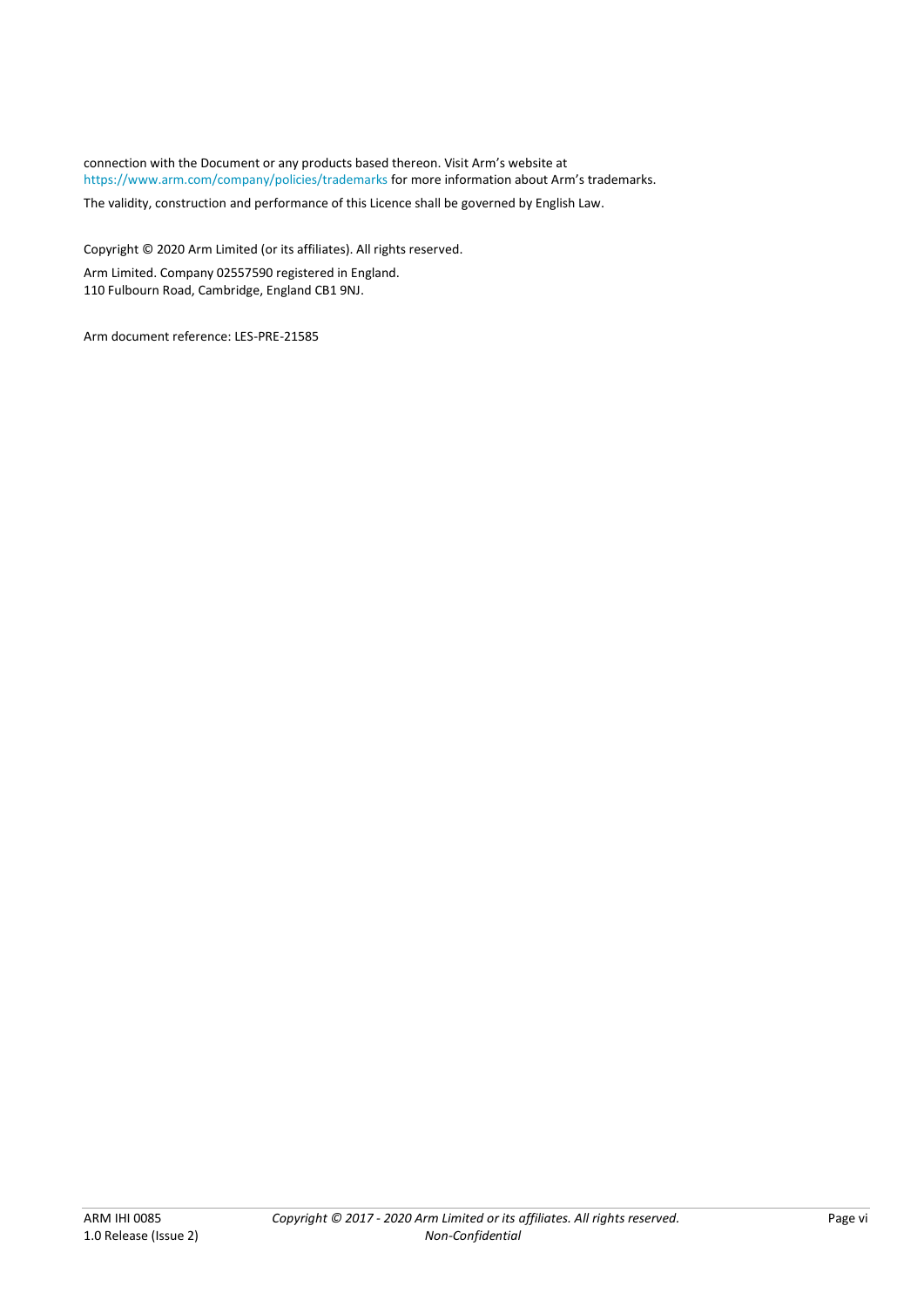connection with the Document or any products based thereon. Visit Arm's website at <https://www.arm.com/company/policies/trademarks> for more information about Arm's trademarks.

The validity, construction and performance of this Licence shall be governed by English Law.

Copyright © 2020 Arm Limited (or its affiliates). All rights reserved. Arm Limited. Company 02557590 registered in England. 110 Fulbourn Road, Cambridge, England CB1 9NJ.

Arm document reference: LES-PRE-21585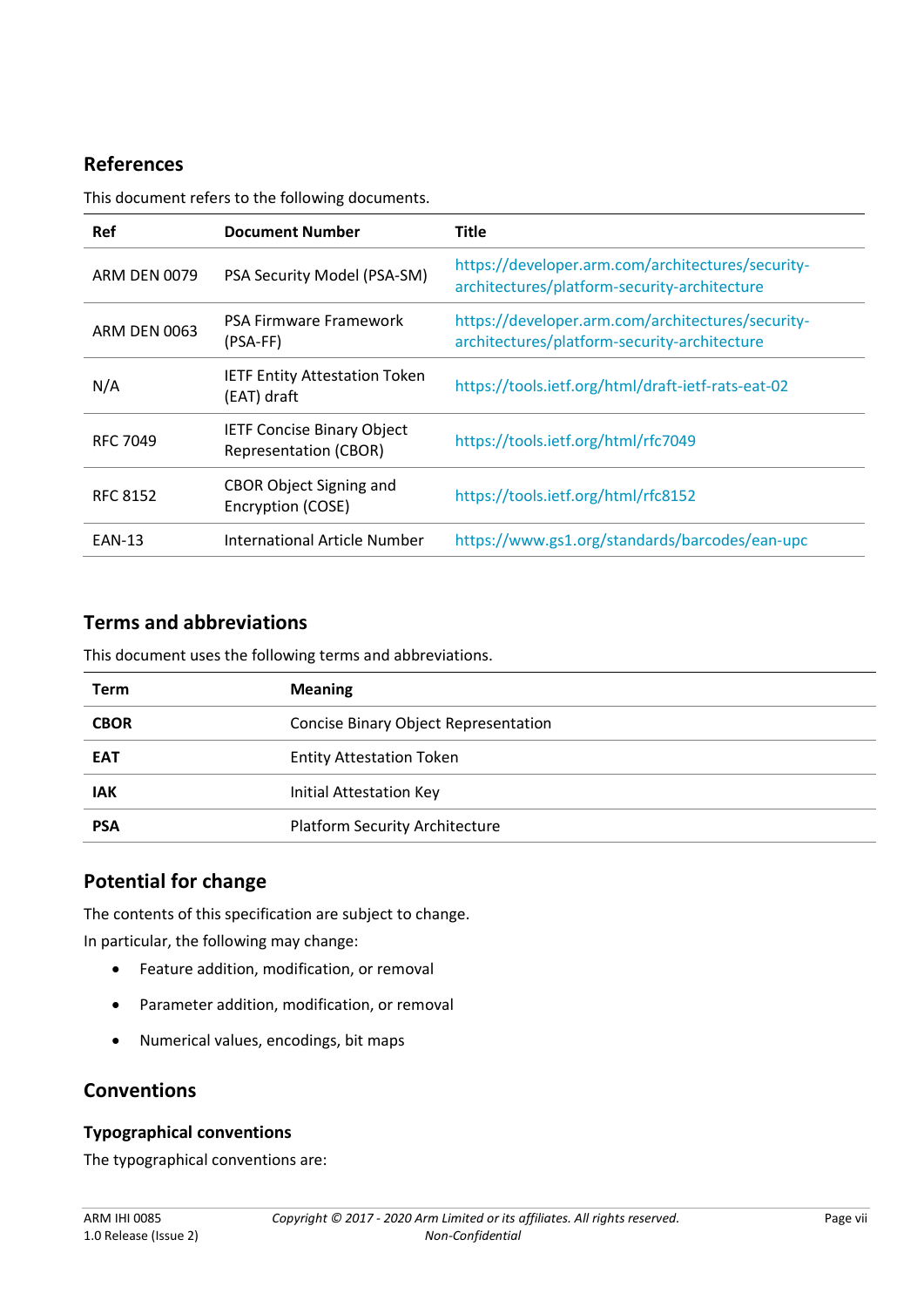## <span id="page-6-0"></span>**References**

This document refers to the following documents.

| <b>Ref</b>      | <b>Document Number</b>                                            | <b>Title</b>                                                                                      |
|-----------------|-------------------------------------------------------------------|---------------------------------------------------------------------------------------------------|
| ARM DEN 0079    | PSA Security Model (PSA-SM)                                       | https://developer.arm.com/architectures/security-<br>architectures/platform-security-architecture |
| ARM DEN 0063    | PSA Firmware Framework<br>(PSA-FF)                                | https://developer.arm.com/architectures/security-<br>architectures/platform-security-architecture |
| N/A             | <b>IETF Entity Attestation Token</b><br>(EAT) draft               | https://tools.ietf.org/html/draft-ietf-rats-eat-02                                                |
| <b>RFC 7049</b> | <b>IETF Concise Binary Object</b><br><b>Representation (CBOR)</b> | https://tools.ietf.org/html/rfc7049                                                               |
| <b>RFC 8152</b> | <b>CBOR Object Signing and</b><br>Encryption (COSE)               | https://tools.ietf.org/html/rfc8152                                                               |
| <b>EAN-13</b>   | International Article Number                                      | https://www.gs1.org/standards/barcodes/ean-upc                                                    |

## **Terms and abbreviations**

This document uses the following terms and abbreviations.

| <b>Term</b> | <b>Meaning</b>                        |
|-------------|---------------------------------------|
| <b>CBOR</b> | Concise Binary Object Representation  |
| <b>EAT</b>  | <b>Entity Attestation Token</b>       |
| <b>IAK</b>  | <b>Initial Attestation Key</b>        |
| <b>PSA</b>  | <b>Platform Security Architecture</b> |

## **Potential for change**

The contents of this specification are subject to change. In particular, the following may change:

- Feature addition, modification, or removal
- Parameter addition, modification, or removal
- Numerical values, encodings, bit maps

## **Conventions**

#### **Typographical conventions**

The typographical conventions are: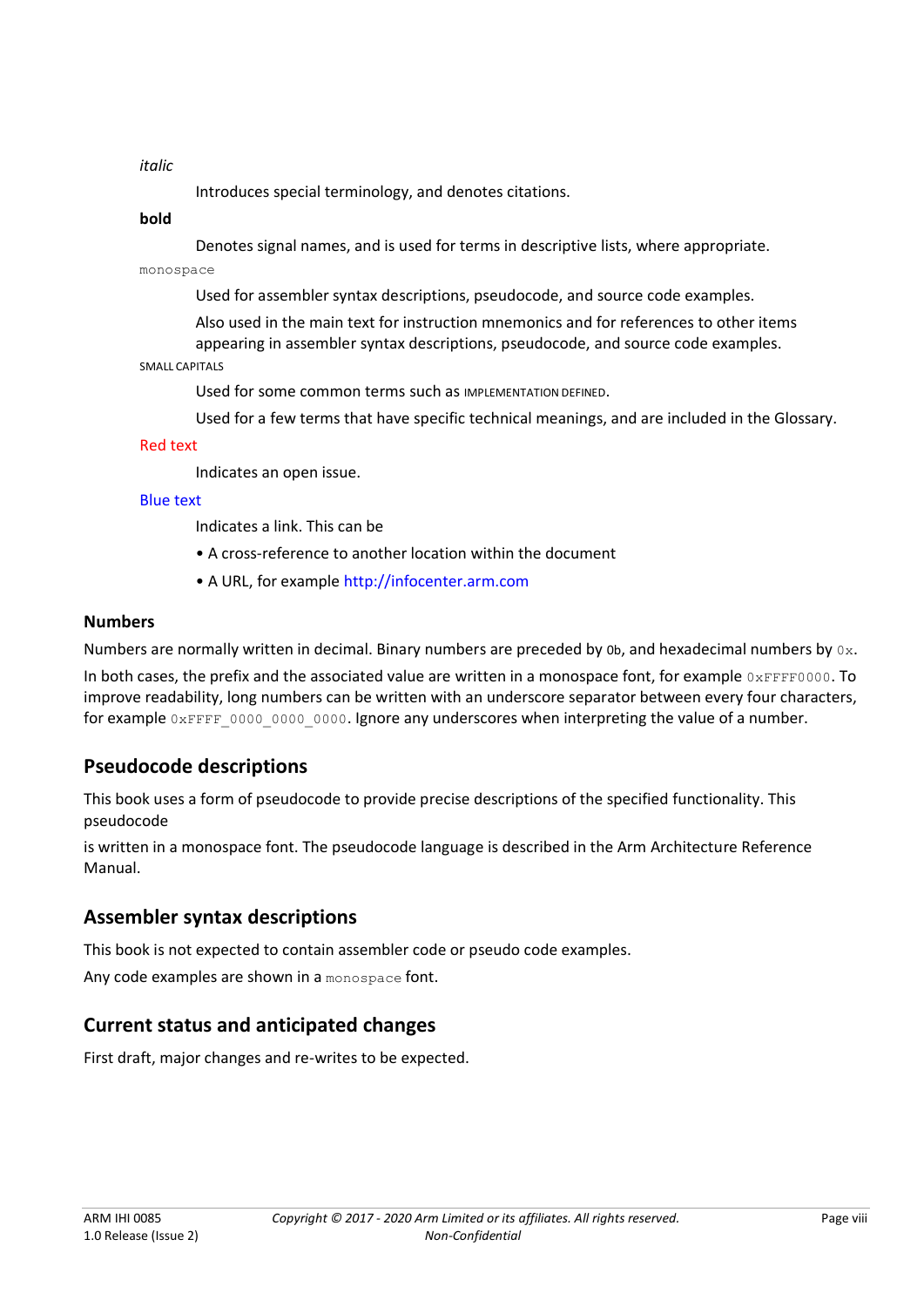#### *italic*

Introduces special terminology, and denotes citations.

#### **bold**

Denotes signal names, and is used for terms in descriptive lists, where appropriate.

monospace

Used for assembler syntax descriptions, pseudocode, and source code examples.

Also used in the main text for instruction mnemonics and for references to other items appearing in assembler syntax descriptions, pseudocode, and source code examples.

#### SMALL CAPITALS

Used for some common terms such as IMPLEMENTATION DEFINED.

Used for a few terms that have specific technical meanings, and are included in the Glossary.

#### Red text

Indicates an open issue.

#### Blue text

Indicates a link. This can be

- A cross-reference to another location within the document
- A URL, for example http://infocenter.arm.com

#### **Numbers**

Numbers are normally written in decimal. Binary numbers are preceded by 0b, and hexadecimal numbers by  $0 \times$ .

In both cases, the prefix and the associated value are written in a monospace font, for example  $0x$ FFFF0000. To improve readability, long numbers can be written with an underscore separator between every four characters, for example 0xFFFF\_0000\_0000\_0000. Ignore any underscores when interpreting the value of a number.

## **Pseudocode descriptions**

This book uses a form of pseudocode to provide precise descriptions of the specified functionality. This pseudocode

is written in a monospace font. The pseudocode language is described in the Arm Architecture Reference Manual.

#### **Assembler syntax descriptions**

This book is not expected to contain assembler code or pseudo code examples.

Any code examples are shown in a monospace font.

## **Current status and anticipated changes**

First draft, major changes and re-writes to be expected.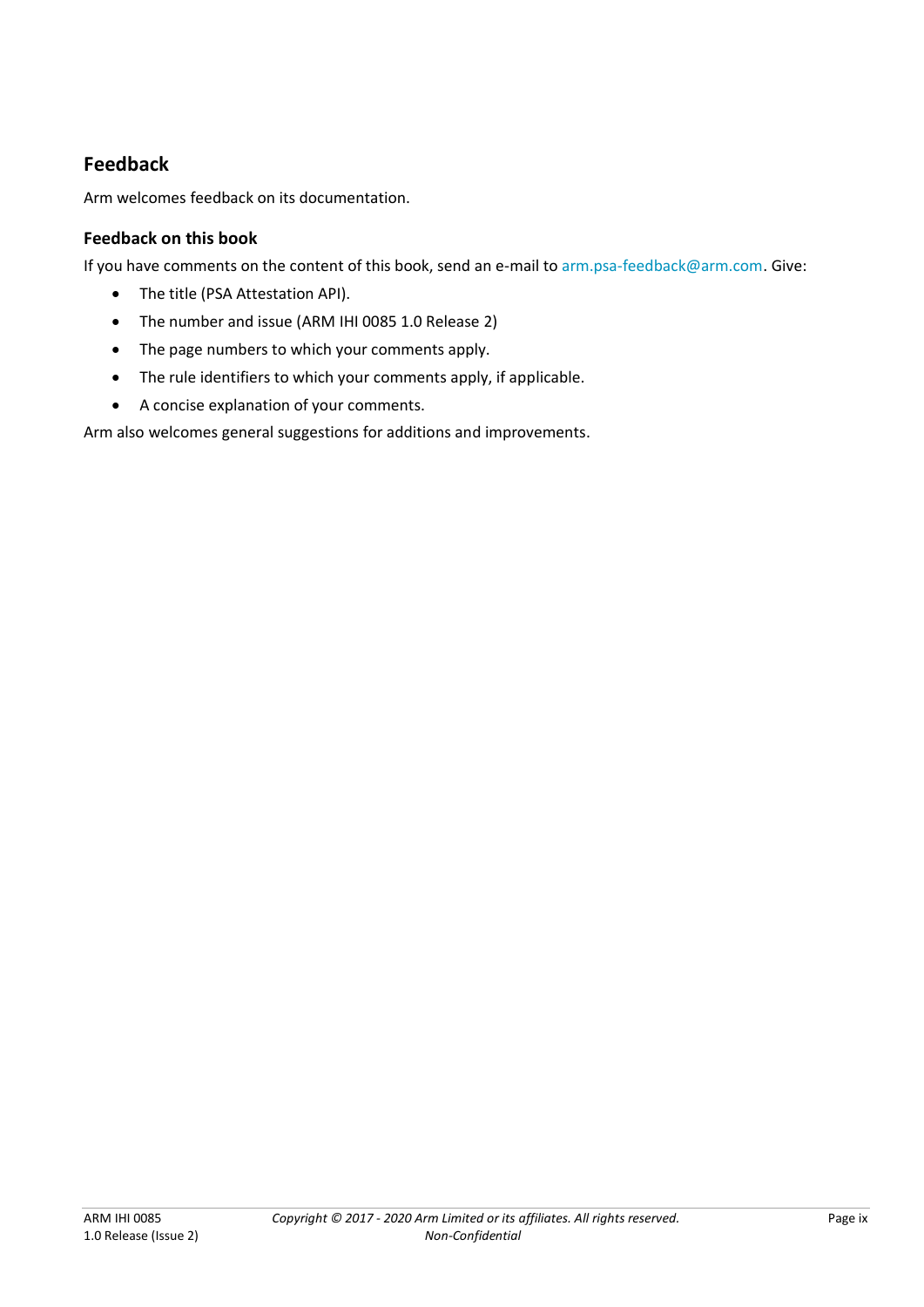## **Feedback**

Arm welcomes feedback on its documentation.

#### **Feedback on this book**

If you have comments on the content of this book, send an e-mail to [arm.psa-feedback@arm.com.](mailto:arm.psa-feedback@arm.com) Give:

- The title (PSA Attestation API).
- The number and issue (ARM IHI 0085 1.0 Release 2)
- The page numbers to which your comments apply.
- The rule identifiers to which your comments apply, if applicable.
- A concise explanation of your comments.

Arm also welcomes general suggestions for additions and improvements.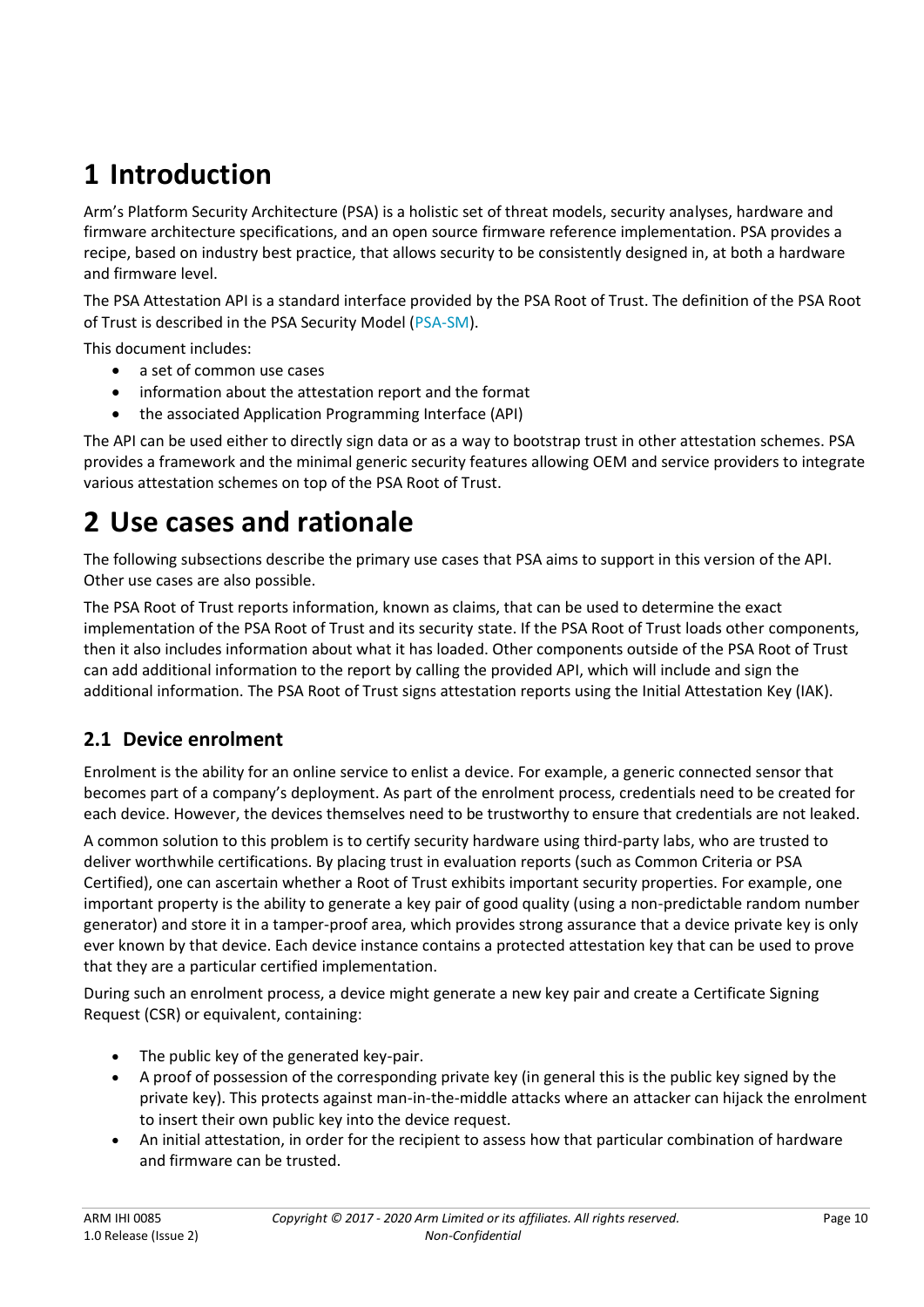# **1 Introduction**

Arm's Platform Security Architecture (PSA) is a holistic set of threat models, security analyses, hardware and firmware architecture specifications, and an open source firmware reference implementation. PSA provides a recipe, based on industry best practice, that allows security to be consistently designed in, at both a hardware and firmware level.

The PSA Attestation API is a standard interface provided by the PSA Root of Trust. The definition of the PSA Root of Trust is described in the PSA Security Model [\(PSA-SM\)](#page-6-0).

This document includes:

- a set of common use cases
- information about the attestation report and the format
- the associated Application Programming Interface (API)

The API can be used either to directly sign data or as a way to bootstrap trust in other attestation schemes. PSA provides a framework and the minimal generic security features allowing OEM and service providers to integrate various attestation schemes on top of the PSA Root of Trust.

## <span id="page-9-0"></span>**2 Use cases and rationale**

The following subsections describe the primary use cases that PSA aims to support in this version of the API. Other use cases are also possible.

The PSA Root of Trust reports information, known as claims, that can be used to determine the exact implementation of the PSA Root of Trust and its security state. If the PSA Root of Trust loads other components, then it also includes information about what it has loaded. Other components outside of the PSA Root of Trust can add additional information to the report by calling the provided API, which will include and sign the additional information. The PSA Root of Trust signs attestation reports using the Initial Attestation Key (IAK).

## **2.1 Device enrolment**

Enrolment is the ability for an online service to enlist a device. For example, a generic connected sensor that becomes part of a company's deployment. As part of the enrolment process, credentials need to be created for each device. However, the devices themselves need to be trustworthy to ensure that credentials are not leaked.

A common solution to this problem is to certify security hardware using third-party labs, who are trusted to deliver worthwhile certifications. By placing trust in evaluation reports (such as Common Criteria or PSA Certified), one can ascertain whether a Root of Trust exhibits important security properties. For example, one important property is the ability to generate a key pair of good quality (using a non-predictable random number generator) and store it in a tamper-proof area, which provides strong assurance that a device private key is only ever known by that device. Each device instance contains a protected attestation key that can be used to prove that they are a particular certified implementation.

During such an enrolment process, a device might generate a new key pair and create a Certificate Signing Request (CSR) or equivalent, containing:

- The public key of the generated key-pair.
- A proof of possession of the corresponding private key (in general this is the public key signed by the private key). This protects against man-in-the-middle attacks where an attacker can hijack the enrolment to insert their own public key into the device request.
- An initial attestation, in order for the recipient to assess how that particular combination of hardware and firmware can be trusted.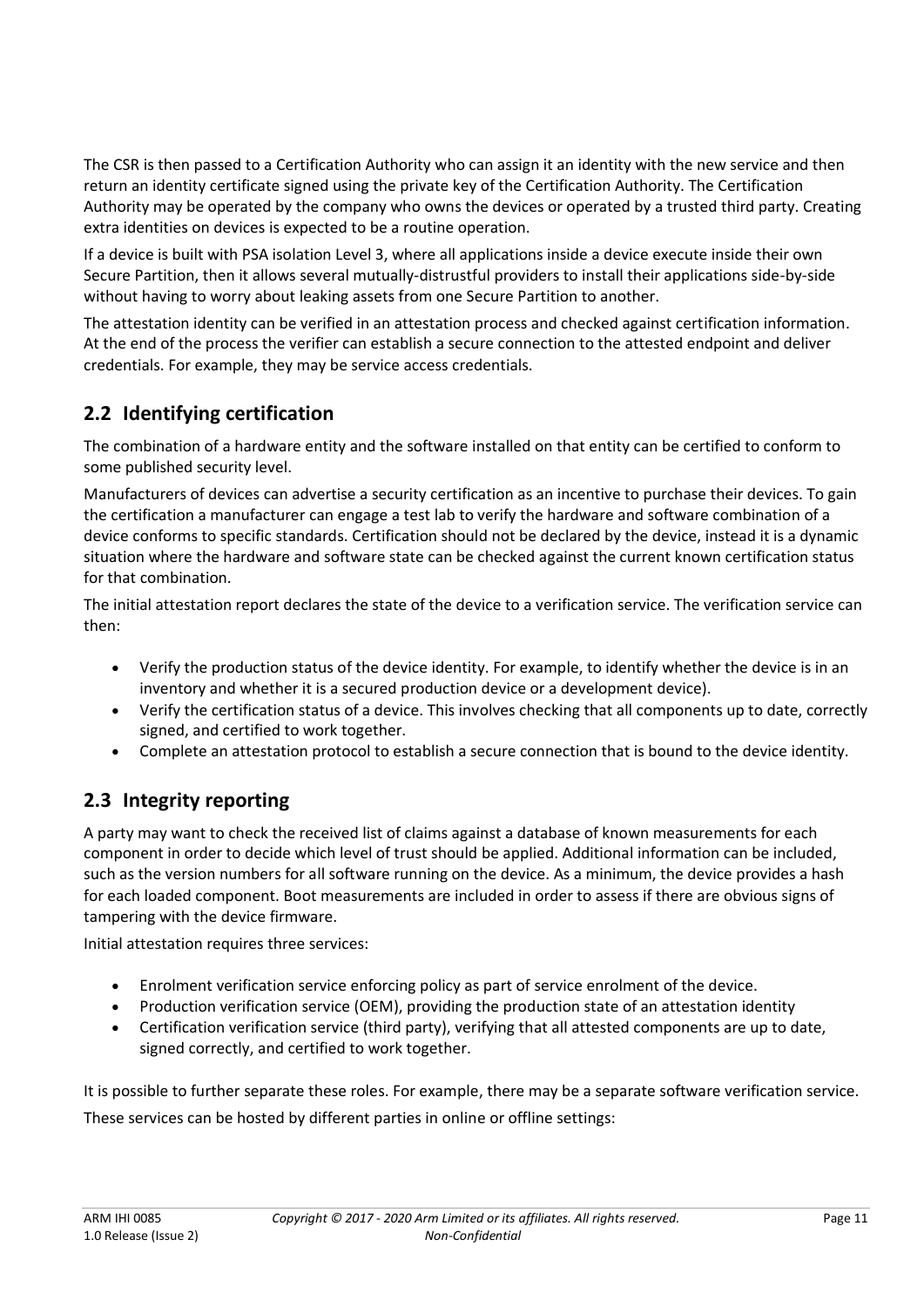The CSR is then passed to a Certification Authority who can assign it an identity with the new service and then return an identity certificate signed using the private key of the Certification Authority. The Certification Authority may be operated by the company who owns the devices or operated by a trusted third party. Creating extra identities on devices is expected to be a routine operation.

If a device is built with PSA isolation Level 3, where all applications inside a device execute inside their own Secure Partition, then it allows several mutually-distrustful providers to install their applications side-by-side without having to worry about leaking assets from one Secure Partition to another.

The attestation identity can be verified in an attestation process and checked against certification information. At the end of the process the verifier can establish a secure connection to the attested endpoint and deliver credentials. For example, they may be service access credentials.

## **2.2 Identifying certification**

The combination of a hardware entity and the software installed on that entity can be certified to conform to some published security level.

Manufacturers of devices can advertise a security certification as an incentive to purchase their devices. To gain the certification a manufacturer can engage a test lab to verify the hardware and software combination of a device conforms to specific standards. Certification should not be declared by the device, instead it is a dynamic situation where the hardware and software state can be checked against the current known certification status for that combination.

The initial attestation report declares the state of the device to a verification service. The verification service can then:

- Verify the production status of the device identity. For example, to identify whether the device is in an inventory and whether it is a secured production device or a development device).
- Verify the certification status of a device. This involves checking that all components up to date, correctly signed, and certified to work together.
- Complete an attestation protocol to establish a secure connection that is bound to the device identity.

## **2.3 Integrity reporting**

A party may want to check the received list of claims against a database of known measurements for each component in order to decide which level of trust should be applied. Additional information can be included, such as the version numbers for all software running on the device. As a minimum, the device provides a hash for each loaded component. Boot measurements are included in order to assess if there are obvious signs of tampering with the device firmware.

Initial attestation requires three services:

- Enrolment verification service enforcing policy as part of service enrolment of the device.
- Production verification service (OEM), providing the production state of an attestation identity
- Certification verification service (third party), verifying that all attested components are up to date, signed correctly, and certified to work together.

It is possible to further separate these roles. For example, there may be a separate software verification service. These services can be hosted by different parties in online or offline settings: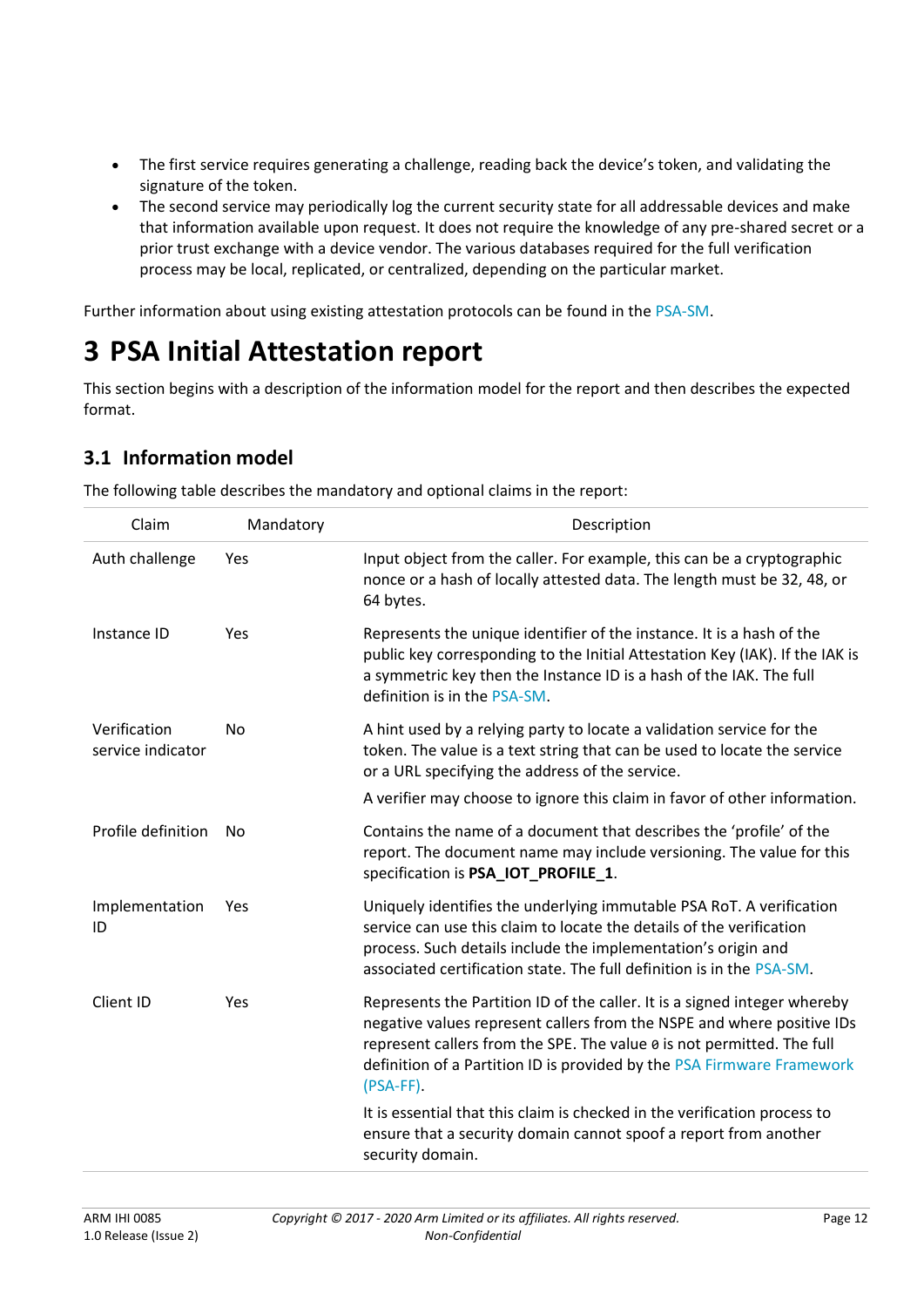- The first service requires generating a challenge, reading back the device's token, and validating the signature of the token.
- The second service may periodically log the current security state for all addressable devices and make that information available upon request. It does not require the knowledge of any pre-shared secret or a prior trust exchange with a device vendor. The various databases required for the full verification process may be local, replicated, or centralized, depending on the particular market.

Further information about using existing attestation protocols can be found in the [PSA-SM.](#page-6-0)

## **3 PSA Initial Attestation report**

This section begins with a description of the information model for the report and then describes the expected format.

## **3.1 Information model**

| Claim                             | Mandatory | Description                                                                                                                                                                                                                                                                                                            |
|-----------------------------------|-----------|------------------------------------------------------------------------------------------------------------------------------------------------------------------------------------------------------------------------------------------------------------------------------------------------------------------------|
| Auth challenge                    | Yes       | Input object from the caller. For example, this can be a cryptographic<br>nonce or a hash of locally attested data. The length must be 32, 48, or<br>64 bytes.                                                                                                                                                         |
| Instance ID                       | Yes       | Represents the unique identifier of the instance. It is a hash of the<br>public key corresponding to the Initial Attestation Key (IAK). If the IAK is<br>a symmetric key then the Instance ID is a hash of the IAK. The full<br>definition is in the PSA-SM.                                                           |
| Verification<br>service indicator | No        | A hint used by a relying party to locate a validation service for the<br>token. The value is a text string that can be used to locate the service<br>or a URL specifying the address of the service.                                                                                                                   |
|                                   |           | A verifier may choose to ignore this claim in favor of other information.                                                                                                                                                                                                                                              |
| Profile definition                | No        | Contains the name of a document that describes the 'profile' of the<br>report. The document name may include versioning. The value for this<br>specification is PSA_IOT_PROFILE_1.                                                                                                                                     |
| Implementation<br>ID              | Yes       | Uniquely identifies the underlying immutable PSA RoT. A verification<br>service can use this claim to locate the details of the verification<br>process. Such details include the implementation's origin and<br>associated certification state. The full definition is in the PSA-SM.                                 |
| Client ID                         | Yes       | Represents the Partition ID of the caller. It is a signed integer whereby<br>negative values represent callers from the NSPE and where positive IDs<br>represent callers from the SPE. The value 0 is not permitted. The full<br>definition of a Partition ID is provided by the PSA Firmware Framework<br>$(PSA-FF).$ |
|                                   |           | It is essential that this claim is checked in the verification process to<br>ensure that a security domain cannot spoof a report from another<br>security domain.                                                                                                                                                      |

The following table describes the mandatory and optional claims in the report: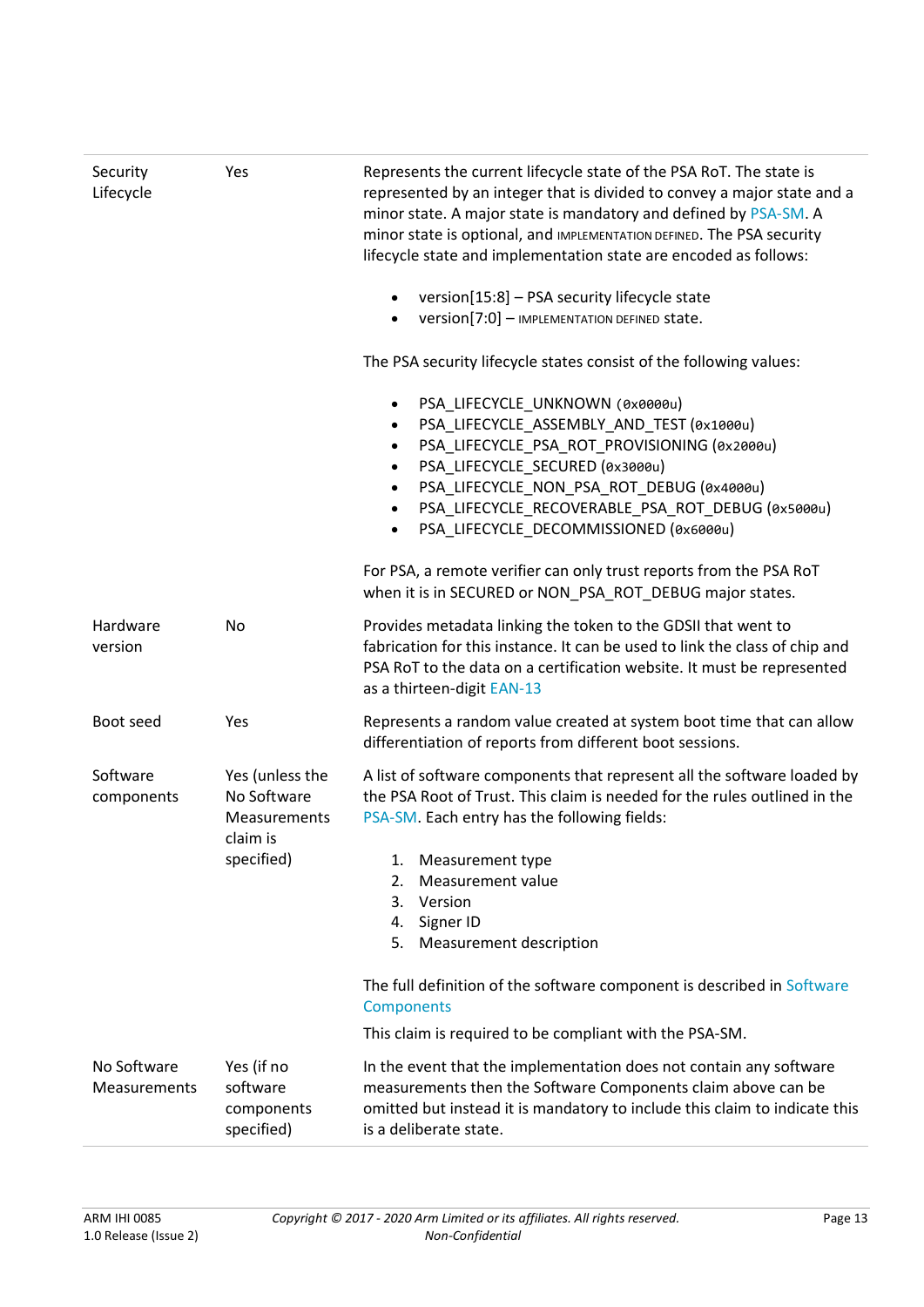| Security<br>Lifecycle              | Yes                                                        | Represents the current lifecycle state of the PSA RoT. The state is<br>represented by an integer that is divided to convey a major state and a<br>minor state. A major state is mandatory and defined by PSA-SM. A<br>minor state is optional, and IMPLEMENTATION DEFINED. The PSA security<br>lifecycle state and implementation state are encoded as follows:                                        |  |
|------------------------------------|------------------------------------------------------------|--------------------------------------------------------------------------------------------------------------------------------------------------------------------------------------------------------------------------------------------------------------------------------------------------------------------------------------------------------------------------------------------------------|--|
|                                    |                                                            | version[15:8] - PSA security lifecycle state<br>Version[7:0] - IMPLEMENTATION DEFINED State.                                                                                                                                                                                                                                                                                                           |  |
|                                    |                                                            | The PSA security lifecycle states consist of the following values:                                                                                                                                                                                                                                                                                                                                     |  |
|                                    |                                                            | PSA_LIFECYCLE_UNKNOWN (0x0000u)<br>$\bullet$<br>PSA_LIFECYCLE_ASSEMBLY_AND_TEST (0x1000u)<br>$\bullet$<br>PSA_LIFECYCLE_PSA_ROT_PROVISIONING (0x2000u)<br>$\bullet$<br>PSA_LIFECYCLE_SECURED (0x3000u)<br>$\bullet$<br>PSA LIFECYCLE NON PSA ROT DEBUG (0x4000u)<br>$\bullet$<br>PSA_LIFECYCLE_RECOVERABLE_PSA_ROT_DEBUG (0x5000u)<br>$\bullet$<br>PSA LIFECYCLE DECOMMISSIONED (0x6000u)<br>$\bullet$ |  |
|                                    |                                                            | For PSA, a remote verifier can only trust reports from the PSA RoT<br>when it is in SECURED or NON_PSA_ROT_DEBUG major states.                                                                                                                                                                                                                                                                         |  |
| Hardware<br>version                | No                                                         | Provides metadata linking the token to the GDSII that went to<br>fabrication for this instance. It can be used to link the class of chip and<br>PSA RoT to the data on a certification website. It must be represented<br>as a thirteen-digit EAN-13                                                                                                                                                   |  |
| Boot seed                          | Yes                                                        | Represents a random value created at system boot time that can allow<br>differentiation of reports from different boot sessions.                                                                                                                                                                                                                                                                       |  |
| Software<br>components             | Yes (unless the<br>No Software<br>Measurements<br>claim is | A list of software components that represent all the software loaded by<br>the PSA Root of Trust. This claim is needed for the rules outlined in the<br>PSA-SM. Each entry has the following fields:                                                                                                                                                                                                   |  |
|                                    | specified)                                                 | Measurement type<br>1.<br>Measurement value<br>2.                                                                                                                                                                                                                                                                                                                                                      |  |
|                                    |                                                            | 3.<br>Version                                                                                                                                                                                                                                                                                                                                                                                          |  |
|                                    |                                                            | Signer ID<br>4.<br>5.<br>Measurement description                                                                                                                                                                                                                                                                                                                                                       |  |
|                                    |                                                            | The full definition of the software component is described in Software<br>Components                                                                                                                                                                                                                                                                                                                   |  |
|                                    |                                                            | This claim is required to be compliant with the PSA-SM.                                                                                                                                                                                                                                                                                                                                                |  |
| No Software<br><b>Measurements</b> | Yes (if no<br>software<br>components<br>specified)         | In the event that the implementation does not contain any software<br>measurements then the Software Components claim above can be<br>omitted but instead it is mandatory to include this claim to indicate this<br>is a deliberate state.                                                                                                                                                             |  |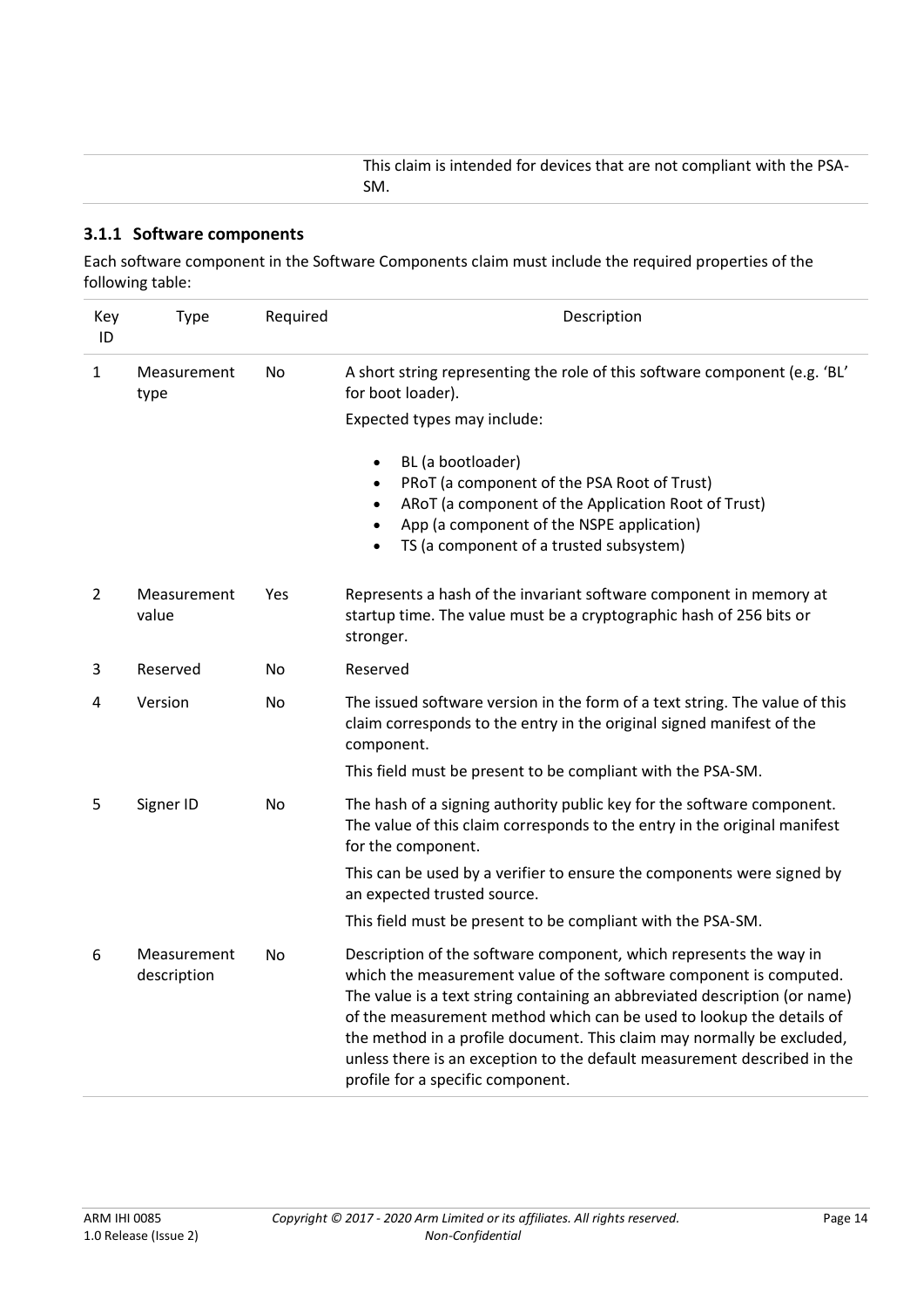This claim is intended for devices that are not compliant with the PSA-SM.

#### <span id="page-13-0"></span>**3.1.1 Software components**

Each software component in the Software Components claim must include the required properties of the following table:

| Key<br>ID    | <b>Type</b>                | Required  | Description                                                                                                                                                                                                                                                                                                                                                                                                                                                                               |
|--------------|----------------------------|-----------|-------------------------------------------------------------------------------------------------------------------------------------------------------------------------------------------------------------------------------------------------------------------------------------------------------------------------------------------------------------------------------------------------------------------------------------------------------------------------------------------|
| $\mathbf{1}$ | Measurement<br>type        | No        | A short string representing the role of this software component (e.g. 'BL'<br>for boot loader).                                                                                                                                                                                                                                                                                                                                                                                           |
|              |                            |           | Expected types may include:                                                                                                                                                                                                                                                                                                                                                                                                                                                               |
|              |                            |           | BL (a bootloader)<br>$\bullet$<br>PRoT (a component of the PSA Root of Trust)<br>$\bullet$<br>ARoT (a component of the Application Root of Trust)<br>$\bullet$<br>App (a component of the NSPE application)<br>$\bullet$<br>TS (a component of a trusted subsystem)<br>$\bullet$                                                                                                                                                                                                          |
| 2            | Measurement<br>value       | Yes       | Represents a hash of the invariant software component in memory at<br>startup time. The value must be a cryptographic hash of 256 bits or<br>stronger.                                                                                                                                                                                                                                                                                                                                    |
| 3            | Reserved                   | No        | Reserved                                                                                                                                                                                                                                                                                                                                                                                                                                                                                  |
| 4            | Version                    | <b>No</b> | The issued software version in the form of a text string. The value of this<br>claim corresponds to the entry in the original signed manifest of the<br>component.                                                                                                                                                                                                                                                                                                                        |
|              |                            |           | This field must be present to be compliant with the PSA-SM.                                                                                                                                                                                                                                                                                                                                                                                                                               |
| 5            | Signer ID                  | No        | The hash of a signing authority public key for the software component.<br>The value of this claim corresponds to the entry in the original manifest<br>for the component.                                                                                                                                                                                                                                                                                                                 |
|              |                            |           | This can be used by a verifier to ensure the components were signed by<br>an expected trusted source.                                                                                                                                                                                                                                                                                                                                                                                     |
|              |                            |           | This field must be present to be compliant with the PSA-SM.                                                                                                                                                                                                                                                                                                                                                                                                                               |
| 6            | Measurement<br>description | No        | Description of the software component, which represents the way in<br>which the measurement value of the software component is computed.<br>The value is a text string containing an abbreviated description (or name)<br>of the measurement method which can be used to lookup the details of<br>the method in a profile document. This claim may normally be excluded,<br>unless there is an exception to the default measurement described in the<br>profile for a specific component. |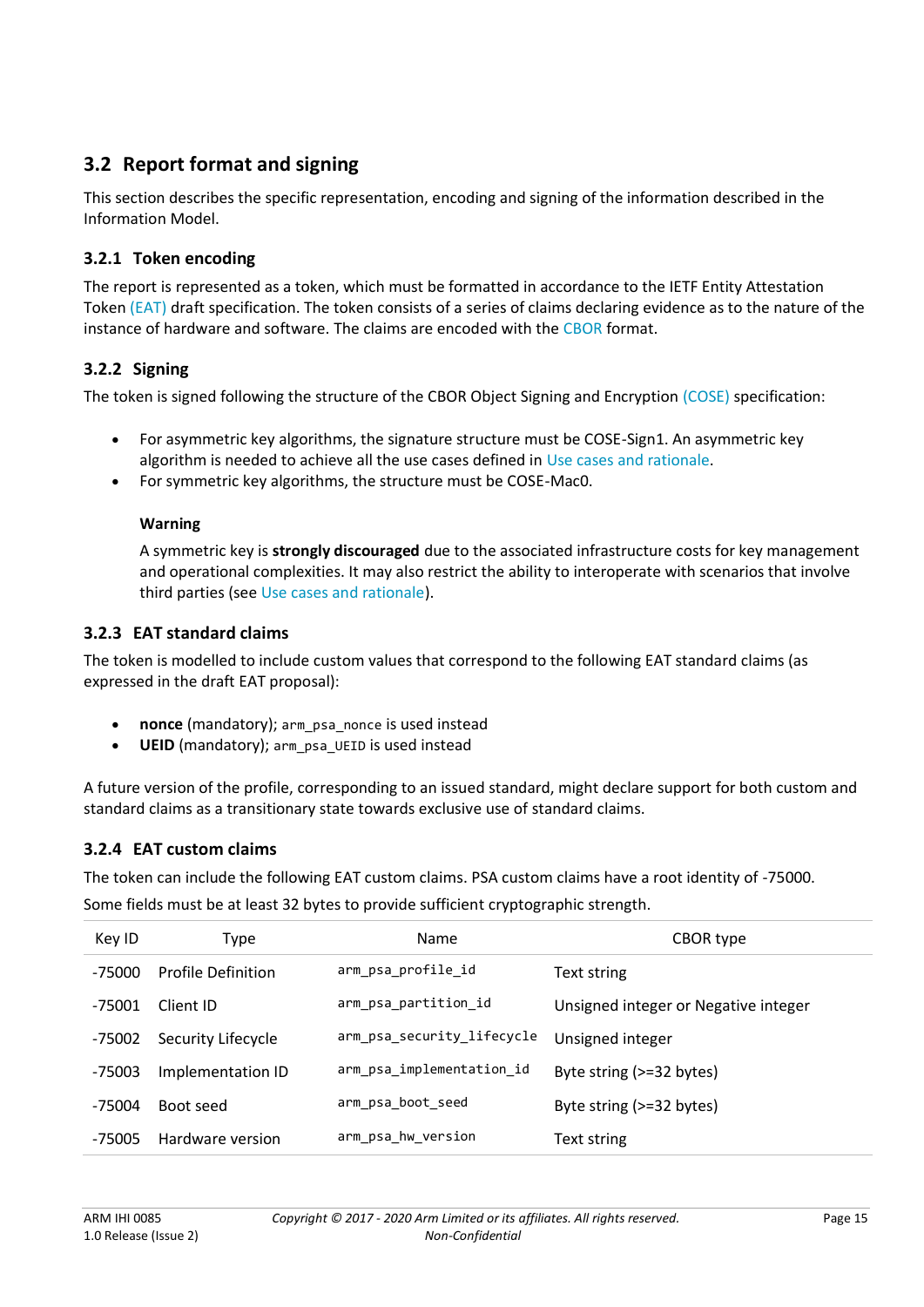## **3.2 Report format and signing**

This section describes the specific representation, encoding and signing of the information described in the Information Model.

## **3.2.1 Token encoding**

The report is represented as a token, which must be formatted in accordance to the IETF Entity Attestation Token [\(EAT\)](#page-6-0) draft specification. The token consists of a series of claims declaring evidence as to the nature of the instance of hardware and software. The claims are encoded with the [CBOR](#page-6-0) format.

## **3.2.2 Signing**

The token is signed following the structure of the CBOR Object Signing and Encryption [\(COSE\)](#page-6-0) specification:

- For asymmetric key algorithms, the signature structure must be COSE-Sign1. An asymmetric key algorithm is needed to achieve all the use cases defined in [Use cases and rationale.](#page-9-0)
- For symmetric key algorithms, the structure must be COSE-Mac0.

#### **Warning**

A symmetric key is **strongly discouraged** due to the associated infrastructure costs for key management and operational complexities. It may also restrict the ability to interoperate with scenarios that involve third parties (see [Use cases and rationale\)](#page-9-0).

### **3.2.3 EAT standard claims**

The token is modelled to include custom values that correspond to the following EAT standard claims (as expressed in the draft EAT proposal):

- **nonce** (mandatory); arm\_psa\_nonce is used instead
- **UEID** (mandatory); arm\_psa\_UEID is used instead

A future version of the profile, corresponding to an issued standard, might declare support for both custom and standard claims as a transitionary state towards exclusive use of standard claims.

## **3.2.4 EAT custom claims**

The token can include the following EAT custom claims. PSA custom claims have a root identity of -75000.

Some fields must be at least 32 bytes to provide sufficient cryptographic strength.

| Key ID   | Type                      | <b>Name</b>                | CBOR type                            |
|----------|---------------------------|----------------------------|--------------------------------------|
| -75000   | <b>Profile Definition</b> | arm_psa_profile_id         | Text string                          |
| $-75001$ | Client ID                 | arm psa partition id       | Unsigned integer or Negative integer |
| -75002   | Security Lifecycle        | arm_psa_security_lifecycle | Unsigned integer                     |
| -75003   | Implementation ID         | arm_psa_implementation_id  | Byte string (>=32 bytes)             |
| $-75004$ | Boot seed                 | arm psa boot seed          | Byte string (>=32 bytes)             |
| -75005   | Hardware version          | arm_psa_hw_version         | Text string                          |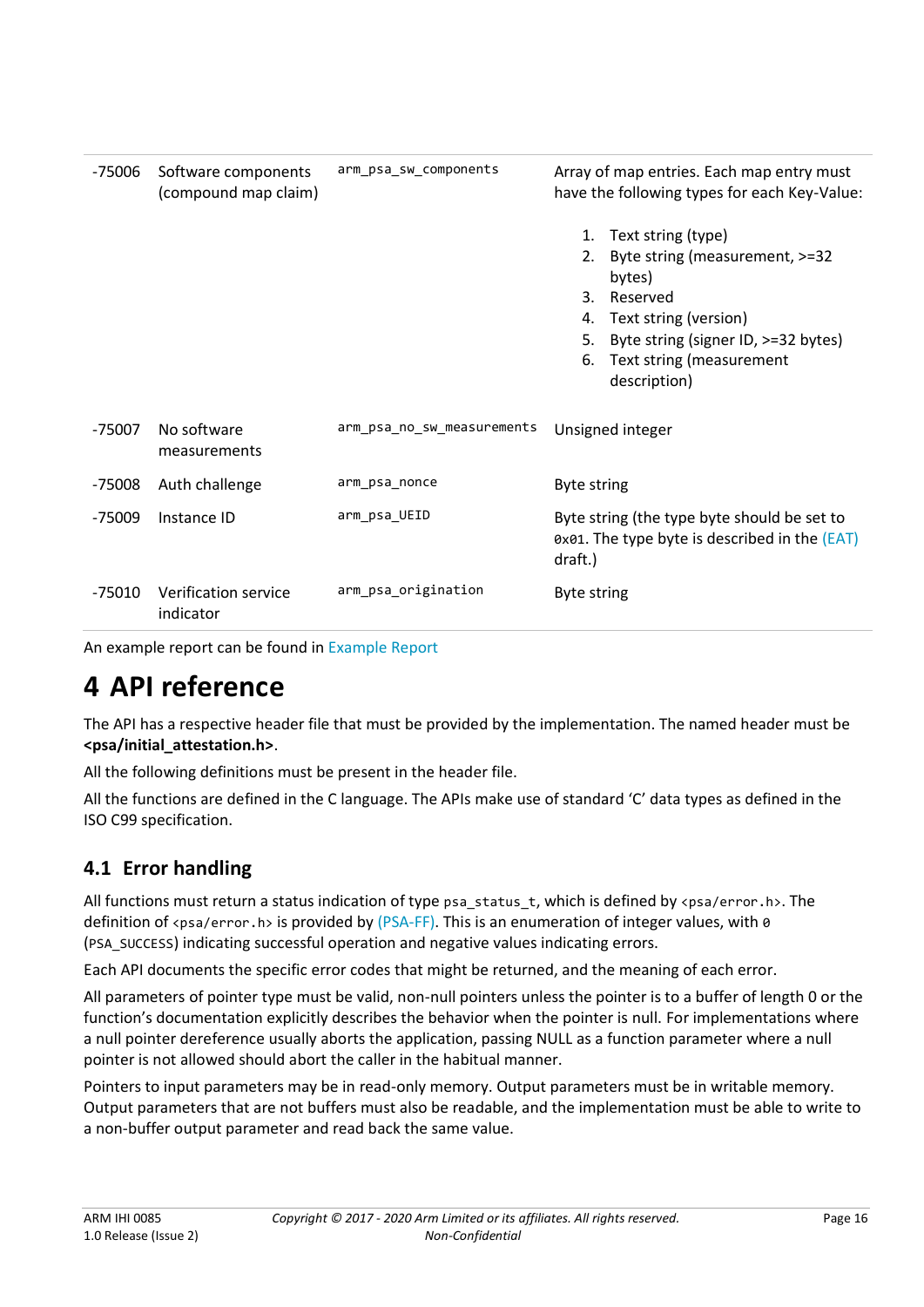| -75006   | Software components<br>(compound map claim) | arm psa sw components      | Array of map entries. Each map entry must<br>have the following types for each Key-Value: |                                                                                              |
|----------|---------------------------------------------|----------------------------|-------------------------------------------------------------------------------------------|----------------------------------------------------------------------------------------------|
|          |                                             |                            |                                                                                           | 1. Text string (type)                                                                        |
|          |                                             |                            | 2.                                                                                        | Byte string (measurement, >=32<br>bytes)                                                     |
|          |                                             |                            | 3.                                                                                        | Reserved                                                                                     |
|          |                                             |                            | 4.                                                                                        | Text string (version)                                                                        |
|          |                                             |                            | 5.                                                                                        | Byte string (signer ID, >=32 bytes)                                                          |
|          |                                             |                            | 6.                                                                                        | Text string (measurement                                                                     |
|          |                                             |                            |                                                                                           | description)                                                                                 |
| -75007   | No software<br>measurements                 | arm psa no sw measurements |                                                                                           | Unsigned integer                                                                             |
| $-75008$ | Auth challenge                              | arm psa nonce              | <b>Byte string</b>                                                                        |                                                                                              |
| -75009   | Instance ID                                 | arm psa UEID               | draft.)                                                                                   | Byte string (the type byte should be set to<br>0x01. The type byte is described in the (EAT) |
| -75010   | Verification service<br>indicator           | arm_psa_origination        | <b>Byte string</b>                                                                        |                                                                                              |

An example report can be found in [Example Report](#page-18-0)

# **4 API reference**

The API has a respective header file that must be provided by the implementation. The named header must be **<psa/initial\_attestation.h>**.

All the following definitions must be present in the header file.

All the functions are defined in the C language. The APIs make use of standard 'C' data types as defined in the ISO C99 specification.

## **4.1 Error handling**

All functions must return a status indication of type psa\_status\_t, which is defined by <psa/error.h>. The definition of <psa/error.h> is provided by [\(PSA-FF\).](#page-6-0) This is an enumeration of integer values, with  $\theta$ (PSA\_SUCCESS) indicating successful operation and negative values indicating errors.

Each API documents the specific error codes that might be returned, and the meaning of each error.

All parameters of pointer type must be valid, non-null pointers unless the pointer is to a buffer of length 0 or the function's documentation explicitly describes the behavior when the pointer is null. For implementations where a null pointer dereference usually aborts the application, passing NULL as a function parameter where a null pointer is not allowed should abort the caller in the habitual manner.

Pointers to input parameters may be in read-only memory. Output parameters must be in writable memory. Output parameters that are not buffers must also be readable, and the implementation must be able to write to a non-buffer output parameter and read back the same value.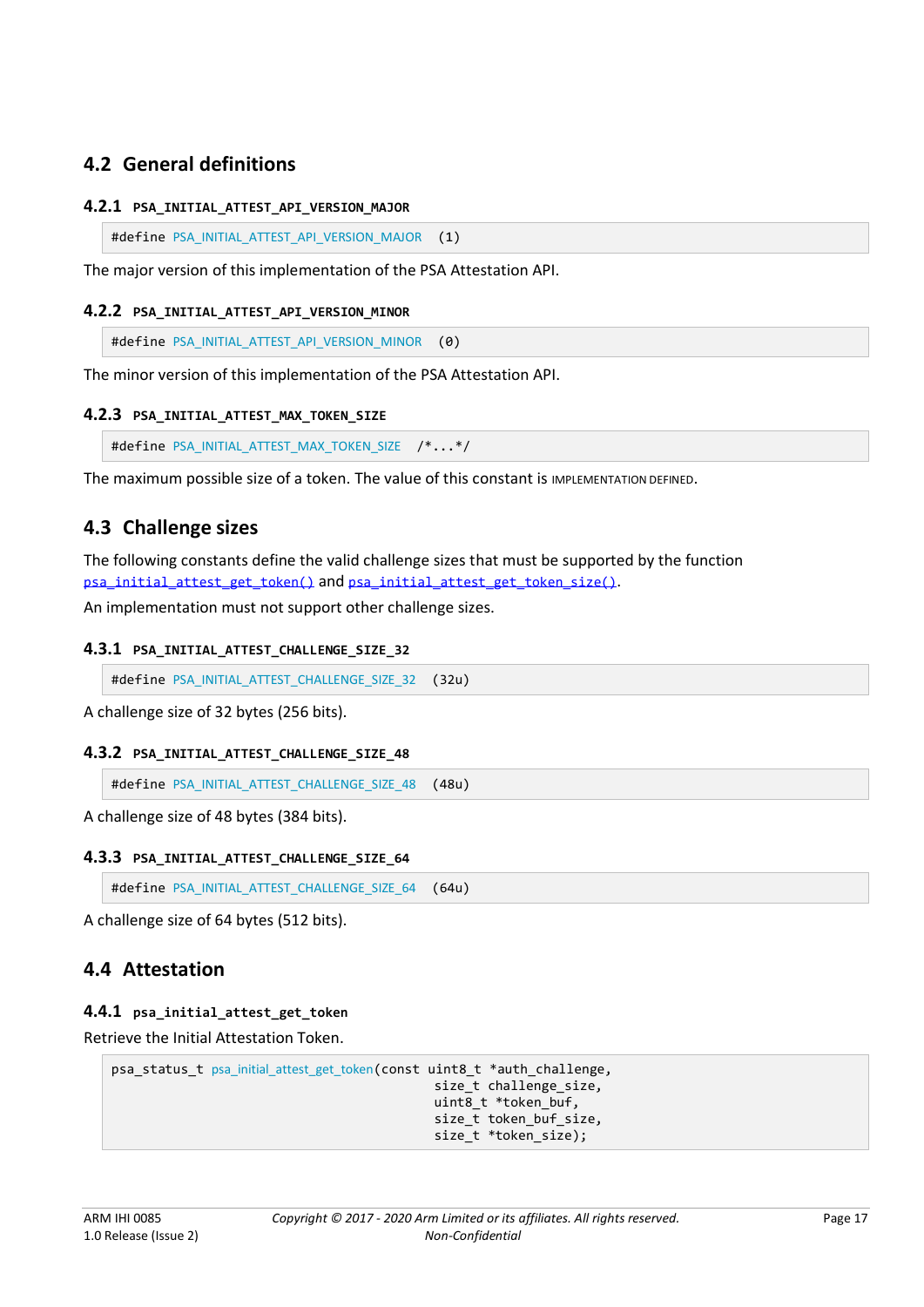## **4.2 General definitions**

#### <span id="page-16-0"></span>**4.2.1 PSA\_INITIAL\_ATTEST\_API\_VERSION\_MAJOR**

```
PSA_INITIAL_ATTEST_API_VERSION_MAJOR (1)
```
The major version of this implementation of the PSA Attestation API.

#### <span id="page-16-1"></span>**4.2.2 PSA\_INITIAL\_ATTEST\_API\_VERSION\_MINOR**

#define [PSA\\_INITIAL\\_ATTEST\\_API\\_VERSION\\_MINOR](#page-16-1) (0)

The minor version of this implementation of the PSA Attestation API.

#### <span id="page-16-2"></span>**4.2.3 PSA\_INITIAL\_ATTEST\_MAX\_TOKEN\_SIZE**

```
PSA_INITIAL_ATTEST_MAX_TOKEN_SIZE /*...*/
```
The maximum possible size of a token. The value of this constant is IMPLEMENTATION DEFINED.

### <span id="page-16-7"></span>**4.3 Challenge sizes**

The following constants define the valid challenge sizes that must be supported by the function [psa\\_initial\\_attest\\_get\\_token\(\)](#page-16-3) and [psa\\_initial\\_attest\\_get\\_token\\_size\(\)](#page-17-0).

An implementation must not support other challenge sizes.

#### <span id="page-16-4"></span>**4.3.1 PSA\_INITIAL\_ATTEST\_CHALLENGE\_SIZE\_32**

#define [PSA\\_INITIAL\\_ATTEST\\_CHALLENGE\\_SIZE\\_32](#page-16-4) (32u)

A challenge size of 32 bytes (256 bits).

#### <span id="page-16-5"></span>**4.3.2 PSA\_INITIAL\_ATTEST\_CHALLENGE\_SIZE\_48**

#define [PSA\\_INITIAL\\_ATTEST\\_CHALLENGE\\_SIZE\\_48](#page-16-5) (48u)

A challenge size of 48 bytes (384 bits).

#### <span id="page-16-6"></span>**4.3.3 PSA\_INITIAL\_ATTEST\_CHALLENGE\_SIZE\_64**

#define [PSA\\_INITIAL\\_ATTEST\\_CHALLENGE\\_SIZE\\_64](#page-16-6) (64u)

A challenge size of 64 bytes (512 bits).

## **4.4 Attestation**

#### <span id="page-16-3"></span>**4.4.1 psa\_initial\_attest\_get\_token**

Retrieve the Initial Attestation Token.

```
psa_status_t psa_initial_attest_get_token(const uint8_t *auth_challenge,
                                            size t challenge size,
                                            uint8 t *token buf,
                                             size t token buf size,
                                            size t *token size);
```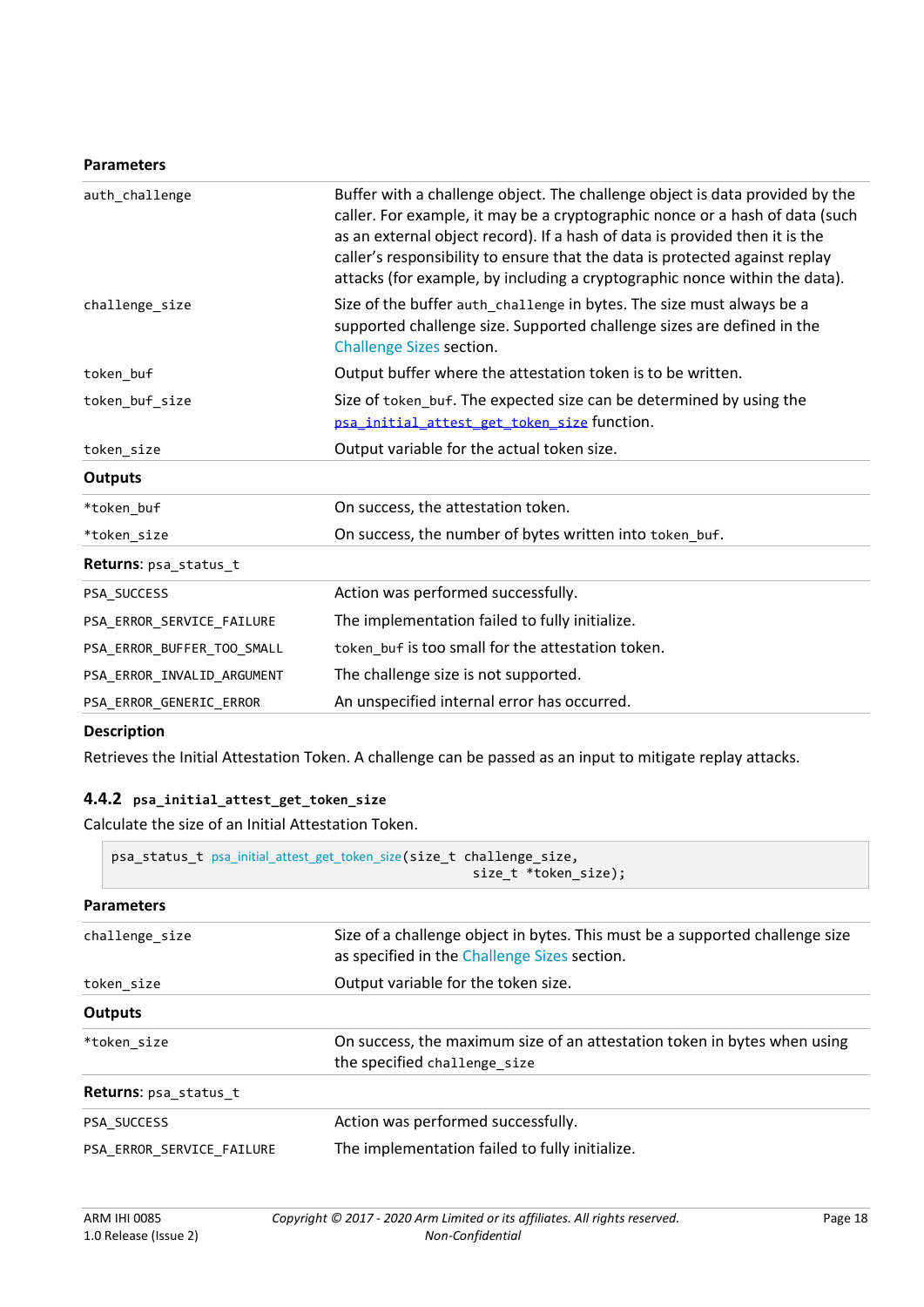#### **Parameters**

| auth challenge             | Buffer with a challenge object. The challenge object is data provided by the<br>caller. For example, it may be a cryptographic nonce or a hash of data (such<br>as an external object record). If a hash of data is provided then it is the<br>caller's responsibility to ensure that the data is protected against replay<br>attacks (for example, by including a cryptographic nonce within the data). |
|----------------------------|----------------------------------------------------------------------------------------------------------------------------------------------------------------------------------------------------------------------------------------------------------------------------------------------------------------------------------------------------------------------------------------------------------|
| challenge size             | Size of the buffer auth_challenge in bytes. The size must always be a<br>supported challenge size. Supported challenge sizes are defined in the<br><b>Challenge Sizes section.</b>                                                                                                                                                                                                                       |
| token_buf                  | Output buffer where the attestation token is to be written.                                                                                                                                                                                                                                                                                                                                              |
| token buf size             | Size of token_buf. The expected size can be determined by using the<br>psa_initial_attest_get_token_size function.                                                                                                                                                                                                                                                                                       |
| token size                 | Output variable for the actual token size.                                                                                                                                                                                                                                                                                                                                                               |
| <b>Outputs</b>             |                                                                                                                                                                                                                                                                                                                                                                                                          |
| *token buf                 | On success, the attestation token.                                                                                                                                                                                                                                                                                                                                                                       |
| *token size                | On success, the number of bytes written into token_buf.                                                                                                                                                                                                                                                                                                                                                  |
| Returns: psa_status_t      |                                                                                                                                                                                                                                                                                                                                                                                                          |
| PSA_SUCCESS                | Action was performed successfully.                                                                                                                                                                                                                                                                                                                                                                       |
| PSA_ERROR_SERVICE_FAILURE  | The implementation failed to fully initialize.                                                                                                                                                                                                                                                                                                                                                           |
| PSA ERROR BUFFER TOO SMALL | token buf is too small for the attestation token.                                                                                                                                                                                                                                                                                                                                                        |
| PSA ERROR INVALID ARGUMENT | The challenge size is not supported.                                                                                                                                                                                                                                                                                                                                                                     |
| PSA ERROR GENERIC ERROR    | An unspecified internal error has occurred.                                                                                                                                                                                                                                                                                                                                                              |

#### **Description**

Retrieves the Initial Attestation Token. A challenge can be passed as an input to mitigate replay attacks.

#### <span id="page-17-0"></span>**4.4.2 psa\_initial\_attest\_get\_token\_size**

Calculate the size of an Initial Attestation Token.

|                           | psa_status_t psa_initial_attest_get_token_size(size_t challenge_size,<br>size t *token size); |                                                                                                                              |  |  |
|---------------------------|-----------------------------------------------------------------------------------------------|------------------------------------------------------------------------------------------------------------------------------|--|--|
|                           | <b>Parameters</b>                                                                             |                                                                                                                              |  |  |
|                           | challenge size                                                                                | Size of a challenge object in bytes. This must be a supported challenge size<br>as specified in the Challenge Sizes section. |  |  |
|                           | token size                                                                                    | Output variable for the token size.                                                                                          |  |  |
|                           | Outputs                                                                                       |                                                                                                                              |  |  |
|                           | *token size                                                                                   | On success, the maximum size of an attestation token in bytes when using<br>the specified challenge size                     |  |  |
|                           | <b>Returns:</b> psa_status_t                                                                  |                                                                                                                              |  |  |
|                           | PSA SUCCESS                                                                                   | Action was performed successfully.                                                                                           |  |  |
| PSA_ERROR_SERVICE_FAILURE |                                                                                               | The implementation failed to fully initialize.                                                                               |  |  |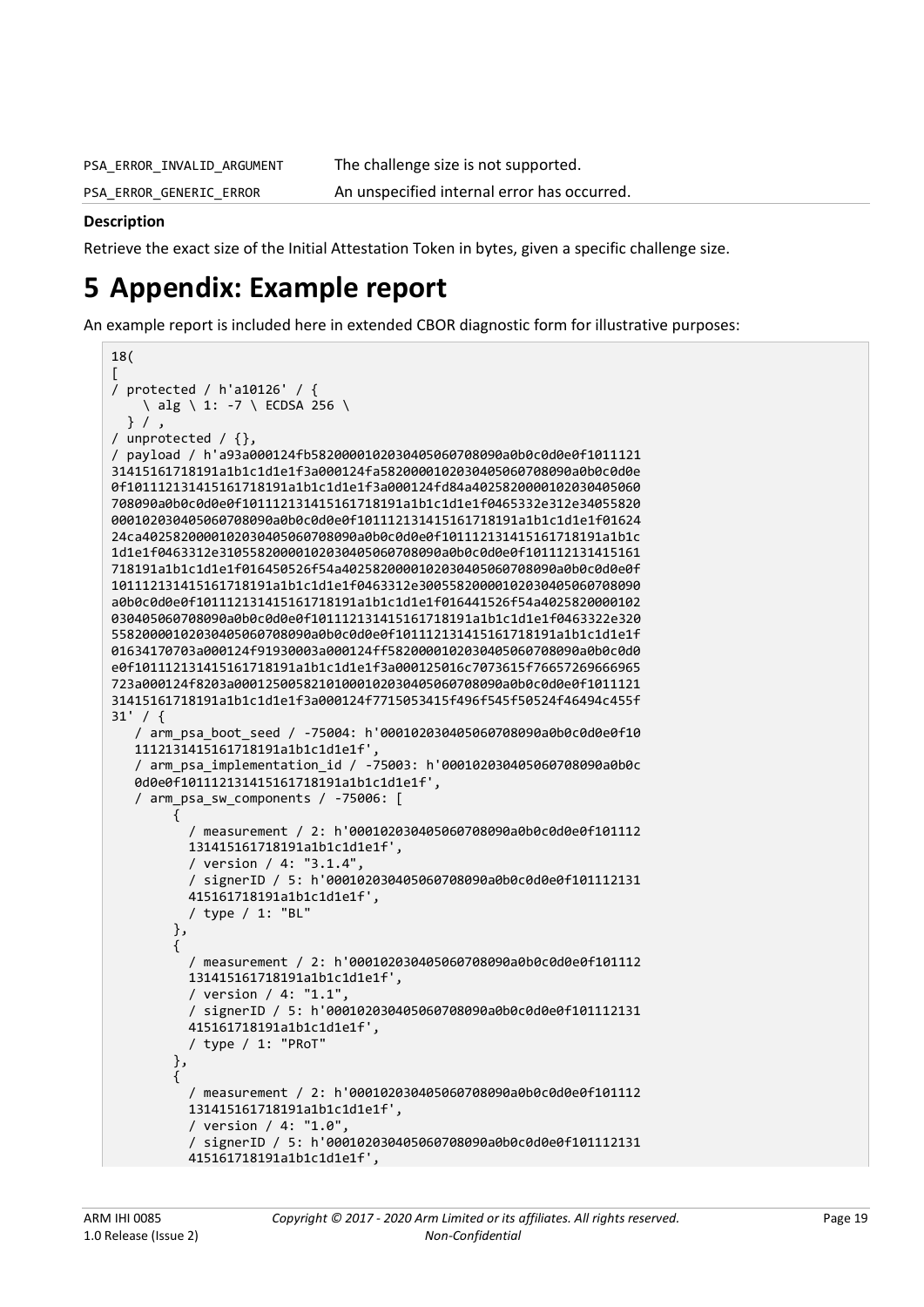PSA ERROR INVALID ARGUMENT The challenge size is not supported.

PSA\_ERROR\_GENERIC\_ERROR An unspecified internal error has occurred.

#### **Description**

Retrieve the exact size of the Initial Attestation Token in bytes, given a specific challenge size.

## <span id="page-18-0"></span>**5 Appendix: Example report**

An example report is included here in extended CBOR diagnostic form for illustrative purposes:

```
18(
[
/ protected / h'a10126' / {
     \ alg \ 1: -7 \ ECDSA 256 \
   } / ,
/ unprotected / {},
/ payload / h'a93a000124fb5820000102030405060708090a0b0c0d0e0f1011121
31415161718191a1b1c1d1e1f3a000124fa5820000102030405060708090a0b0c0d0e
0f101112131415161718191a1b1c1d1e1f3a000124fd84a4025820000102030405060
708090a0b0c0d0e0f101112131415161718191a1b1c1d1e1f0465332e312e34055820
000102030405060708090a0b0c0d0e0f101112131415161718191a1b1c1d1e1f01624
24ca4025820000102030405060708090a0b0c0d0e0f101112131415161718191a1b1c
1d1e1f0463312e31055820000102030405060708090a0b0c0d0e0f101112131415161
718191a1b1c1d1e1f016450526f54a4025820000102030405060708090a0b0c0d0e0f
101112131415161718191a1b1c1d1e1f0463312e30055820000102030405060708090
a0b0c0d0e0f101112131415161718191a1b1c1d1e1f016441526f54a4025820000102
030405060708090a0b0c0d0e0f101112131415161718191a1b1c1d1e1f0463322e320
55820000102030405060708090a0b0c0d0e0f101112131415161718191a1b1c1d1e1f
01634170703a000124f91930003a000124ff5820000102030405060708090a0b0c0d0
e0f101112131415161718191a1b1c1d1e1f3a000125016c7073615f76657269666965
723a000124f8203a00012500582101000102030405060708090a0b0c0d0e0f1011121
31415161718191a1b1c1d1e1f3a000124f7715053415f496f545f50524f46494c455f
31' / {
    / arm_psa_boot_seed / -75004: h'000102030405060708090a0b0c0d0e0f10
    1112131415161718191a1b1c1d1e1f',
    / arm_psa_implementation_id / -75003: h'000102030405060708090a0b0c
    0d0e0f101112131415161718191a1b1c1d1e1f',
    / arm_psa_sw_components / -75006: [
         {
           / measurement / 2: h'000102030405060708090a0b0c0d0e0f101112
           131415161718191a1b1c1d1e1f',
           / version / 4: "3.1.4",
           / signerID / 5: h'000102030405060708090a0b0c0d0e0f101112131
           415161718191a1b1c1d1e1f',
           / type / 1: "BL"
         },
\overline{\mathcal{L}} / measurement / 2: h'000102030405060708090a0b0c0d0e0f101112
           131415161718191a1b1c1d1e1f',
           / version / 4: "1.1",
           / signerID / 5: h'000102030405060708090a0b0c0d0e0f101112131
           415161718191a1b1c1d1e1f',
           / type / 1: "PRoT"
         },
\overline{\phantom{a}} / measurement / 2: h'000102030405060708090a0b0c0d0e0f101112
           131415161718191a1b1c1d1e1f',
           / version / 4: "1.0",
           / signerID / 5: h'000102030405060708090a0b0c0d0e0f101112131
           415161718191a1b1c1d1e1f',
```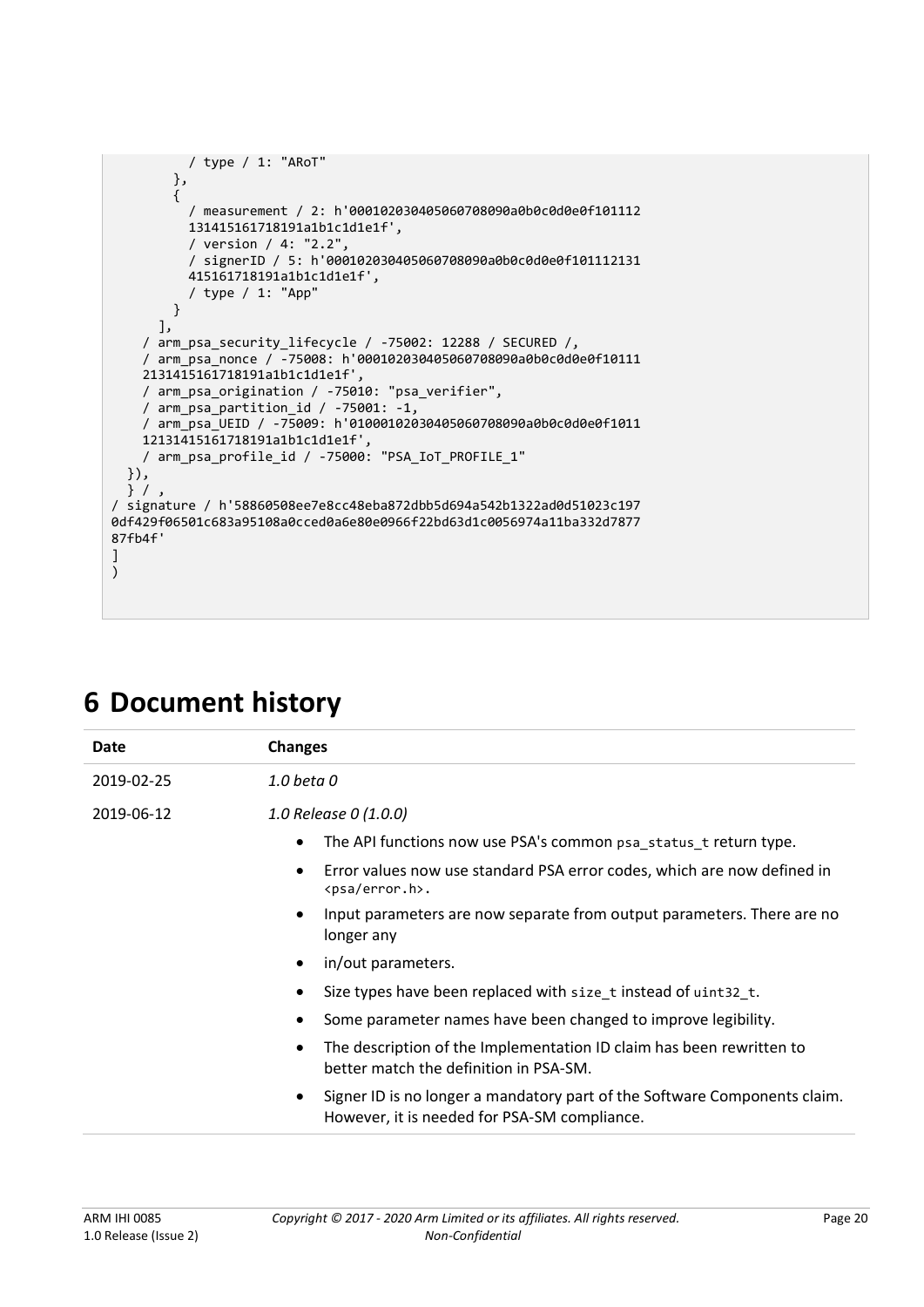```
 / type / 1: "ARoT"
         },
         {
           / measurement / 2: h'000102030405060708090a0b0c0d0e0f101112
           131415161718191a1b1c1d1e1f',
\sqrt{2} version \sqrt{4}: "2.2",
 / signerID / 5: h'000102030405060708090a0b0c0d0e0f101112131
           415161718191a1b1c1d1e1f',
           / type / 1: "App"
         }
       ],
     / arm_psa_security_lifecycle / -75002: 12288 / SECURED /,
     / arm_psa_nonce / -75008: h'000102030405060708090a0b0c0d0e0f10111
     2131415161718191a1b1c1d1e1f',
 / arm_psa_origination / -75010: "psa_verifier",
 / arm_psa_partition_id / -75001: -1,
     / arm_psa_UEID / -75009: h'01000102030405060708090a0b0c0d0e0f1011
     12131415161718191a1b1c1d1e1f',
     / arm_psa_profile_id / -75000: "PSA_IoT_PROFILE_1"
   }),
   } / ,
/ signature / h'58860508ee7e8cc48eba872dbb5d694a542b1322ad0d51023c197
0df429f06501c683a95108a0cced0a6e80e0966f22bd63d1c0056974a11ba332d7877
87fb4f'
]
\overline{\lambda}
```

| Date       | <b>Changes</b>                                                                                                            |
|------------|---------------------------------------------------------------------------------------------------------------------------|
| 2019-02-25 | 1.0 beta 0                                                                                                                |
| 2019-06-12 | 1.0 Release 0 (1.0.0)                                                                                                     |
|            | The API functions now use PSA's common psa status t return type.<br>$\bullet$                                             |
|            | Error values now use standard PSA error codes, which are now defined in<br><psa error.h="">.</psa>                        |
|            | Input parameters are now separate from output parameters. There are no<br>longer any                                      |
|            | in/out parameters.                                                                                                        |
|            | Size types have been replaced with size_t instead of uint32_t.                                                            |
|            | Some parameter names have been changed to improve legibility.                                                             |
|            | The description of the Implementation ID claim has been rewritten to<br>better match the definition in PSA-SM.            |
|            | Signer ID is no longer a mandatory part of the Software Components claim.<br>However, it is needed for PSA-SM compliance. |

## **6 Document history**